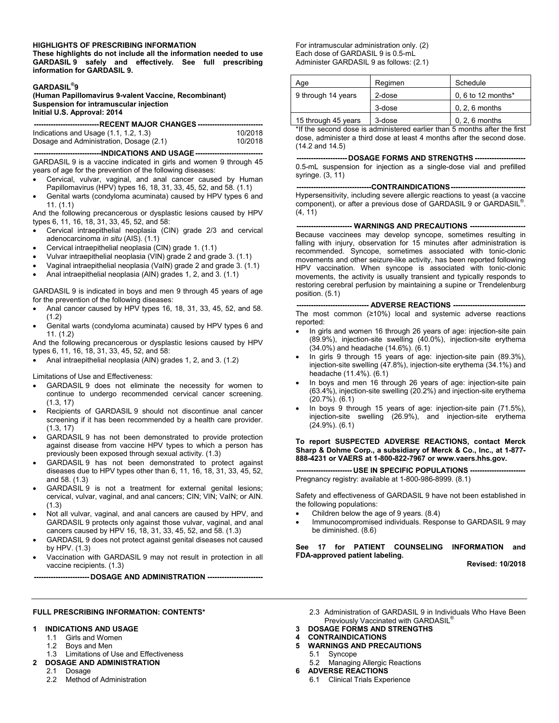#### **HIGHLIGHTS OF PRESCRIBING INFORMATION**

**These highlights do not include all the information needed to use GARDASIL 9 safely and effectively. See full prescribing information for GARDASIL 9.**

#### **GARDASIL® 9**

**(Human Papillomavirus 9-valent Vaccine, Recombinant) Suspension for intramuscular injection Initial U.S. Approval: 2014**

| ----------------------------RECENT MAJOR CHANGES ------------------------------ |         |  |  |  |  |
|---------------------------------------------------------------------------------|---------|--|--|--|--|
|                                                                                 |         |  |  |  |  |
| Indications and Usage $(1.1, 1.2, 1.3)$                                         | 10/2018 |  |  |  |  |
| Dosage and Administration, Dosage (2.1)                                         | 10/2018 |  |  |  |  |

**----------------------------INDICATIONS AND USAGE----------------------------** GARDASIL 9 is a vaccine indicated in girls and women 9 through 45 years of age for the prevention of the following diseases:

- Cervical, vulvar, vaginal, and anal cancer caused by Human Papillomavirus (HPV) types 16, 18, 31, 33, 45, 52, and 58. (1.1)
- Genital warts (condyloma acuminata) caused by HPV types 6 and 11. (1.1)

And the following precancerous or dysplastic lesions caused by HPV types 6, 11, 16, 18, 31, 33, 45, 52, and 58:

- Cervical intraepithelial neoplasia (CIN) grade 2/3 and cervical adenocarcinoma *in situ* (AIS). (1.1)
- Cervical intraepithelial neoplasia (CIN) grade 1. (1.1)
- Vulvar intraepithelial neoplasia (VIN) grade 2 and grade 3. (1.1)
- Vaginal intraepithelial neoplasia (VaIN) grade 2 and grade 3. (1.1)
- Anal intraepithelial neoplasia (AIN) grades 1, 2, and 3. (1.1)

GARDASIL 9 is indicated in boys and men 9 through 45 years of age for the prevention of the following diseases:

- Anal cancer caused by HPV types 16, 18, 31, 33, 45, 52, and 58. (1.2)
- Genital warts (condyloma acuminata) caused by HPV types 6 and 11. (1.2)

And the following precancerous or dysplastic lesions caused by HPV types 6, 11, 16, 18, 31, 33, 45, 52, and 58:

Anal intraepithelial neoplasia (AIN) grades 1, 2, and 3. (1.2)

Limitations of Use and Effectiveness:

- GARDASIL 9 does not eliminate the necessity for women to continue to undergo recommended cervical cancer screening. (1.3, 17)
- Recipients of GARDASIL 9 should not discontinue anal cancer screening if it has been recommended by a health care provider. (1.3, 17)
- GARDASIL 9 has not been demonstrated to provide protection against disease from vaccine HPV types to which a person has previously been exposed through sexual activity. (1.3)
- GARDASIL 9 has not been demonstrated to protect against diseases due to HPV types other than 6, 11, 16, 18, 31, 33, 45, 52, and 58. (1.3)
- GARDASIL 9 is not a treatment for external genital lesions; cervical, vulvar, vaginal, and anal cancers; CIN; VIN; VaIN; or AIN. (1.3)
- Not all vulvar, vaginal, and anal cancers are caused by HPV, and GARDASIL 9 protects only against those vulvar, vaginal, and anal cancers caused by HPV 16, 18, 31, 33, 45, 52, and 58. (1.3)
- GARDASIL 9 does not protect against genital diseases not caused by HPV. (1.3)
- Vaccination with GARDASIL 9 may not result in protection in all vaccine recipients. (1.3)

**----------------------- DOSAGE AND ADMINISTRATION -----------------------**

For intramuscular administration only. (2) Each dose of GARDASIL 9 is 0.5-mL Administer GARDASIL 9 as follows: (2.1)

| Age                 | Regimen | Schedule             |
|---------------------|---------|----------------------|
| 9 through 14 years  | 2-dose  | $0, 6$ to 12 months* |
|                     | 3-dose  | $0, 2, 6$ months     |
| 15 through 45 years | 3-dose  | $0, 2, 6$ months     |

\*If the second dose is administered earlier than 5 months after the first dose, administer a third dose at least 4 months after the second dose. (14.2 and 14.5)

**--------------------- DOSAGE FORMS AND STRENGTHS ---------------------** 0.5-mL suspension for injection as a single-dose vial and prefilled syringe. (3, 11)

--CONTRAINDICATIONS---Hypersensitivity, including severe allergic reactions to yeast (a vaccine component), or after a previous dose of GARDASIL 9 or GARDASIL® . (4, 11)

**----------------------- WARNINGS AND PRECAUTIONS -----------------------** Because vaccinees may develop syncope, sometimes resulting in falling with injury, observation for 15 minutes after administration is recommended. Syncope, sometimes associated with tonic-clonic movements and other seizure-like activity, has been reported following HPV vaccination. When syncope is associated with tonic-clonic movements, the activity is usually transient and typically responds to restoring cerebral perfusion by maintaining a supine or Trendelenburg position. (5.1)

#### **------------------------------ ADVERSE REACTIONS ------------------------------**

The most common (≥10%) local and systemic adverse reactions reported:

- In girls and women 16 through 26 years of age: injection-site pain (89.9%), injection-site swelling (40.0%), injection-site erythema (34.0%) and headache (14.6%). (6.1)
- In girls 9 through 15 years of age: injection-site pain (89.3%), injection-site swelling (47.8%), injection-site erythema (34.1%) and headache (11.4%). (6.1)
- In boys and men 16 through 26 years of age: injection-site pain (63.4%), injection-site swelling (20.2%) and injection-site erythema (20.7%). (6.1)
- In boys 9 through 15 years of age: injection-site pain (71.5%), injection-site swelling (26.9%), and injection-site erythema (24.9%). (6.1)

**To report SUSPECTED ADVERSE REACTIONS, contact Merck Sharp & Dohme Corp., a subsidiary of Merck & Co., Inc., at 1-877- 888-4231 or VAERS at 1-800-822-7967 or www.vaers.hhs.gov.**

**--- USE IN SPECIFIC POPULATIONS** Pregnancy registry: available at 1-800-986-8999. (8.1)

Safety and effectiveness of GARDASIL 9 have not been established in the following populations:

- Children below the age of 9 years. (8.4)
- Immunocompromised individuals. Response to GARDASIL 9 may be diminished. (8.6)

**See 17 for PATIENT COUNSELING INFORMATION and FDA-approved patient labeling.**

**Revised: 10/2018**

#### **FULL PRESCRIBING INFORMATION: CONTENTS\***

#### **1 INDICATIONS AND USAGE**

- 1.1 Girls and Women<br>1.2 Boys and Men
- Boys and Men
- 1.3 Limitations of Use and Effectiveness
- **2 DOSAGE AND ADMINISTRATION**
	- 2.1 Dosage
	- 2.2 Method of Administration
- 2.3 Administration of GARDASIL 9 in Individuals Who Have Been Previously Vaccinated with GARDASIL
- **3 DOSAGE FORMS AND STRENGTHS**
- **4 CONTRAINDICATIONS**
- **5 WARNINGS AND PRECAUTIONS**
- 5.1 Syncope
	- 5.2 Managing Allergic Reactions
- **6 ADVERSE REACTIONS**
	- 6.1 Clinical Trials Experience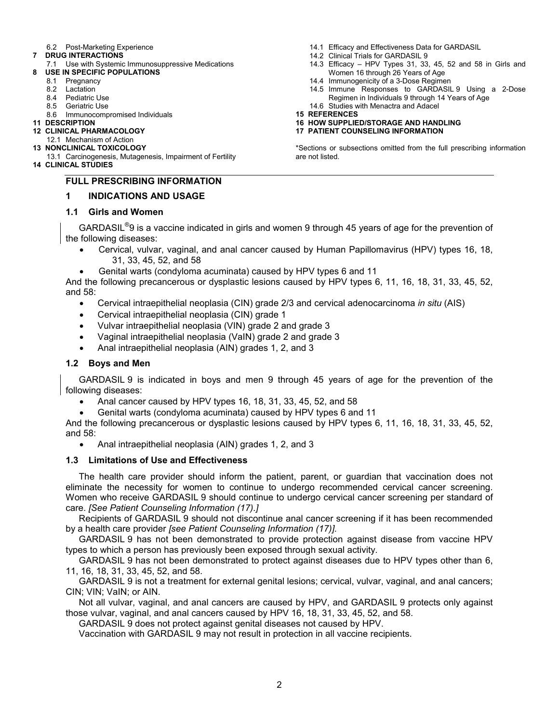### 6.2 Post-Marketing Experience

- **7 DRUG INTERACTIONS**
	- 7.1 Use with Systemic Immunosuppressive Medications
- **8 USE IN SPECIFIC POPULATIONS**
	- 8.1 Pregnancy
	- 8.2 Lactation
	- 8.4 Pediatric Use<br>8.5 Geriatric Use
		- **Geriatric Use**
	- 8.6 Immunocompromised Individuals
- **11 DESCRIPTION**
- **12 CLINICAL PHARMACOLOGY**
- 12.1 Mechanism of Action **13 NONCLINICAL TOXICOLOGY**
- 13.1 Carcinogenesis, Mutagenesis, Impairment of Fertility
- **14 CLINICAL STUDIES**

# **FULL PRESCRIBING INFORMATION**

## **1 INDICATIONS AND USAGE**

## **1.1 Girls and Women**

GARDASIL<sup>®</sup>9 is a vaccine indicated in girls and women 9 through 45 years of age for the prevention of the following diseases:

- Cervical, vulvar, vaginal, and anal cancer caused by Human Papillomavirus (HPV) types 16, 18, 31, 33, 45, 52, and 58
- Genital warts (condyloma acuminata) caused by HPV types 6 and 11

And the following precancerous or dysplastic lesions caused by HPV types 6, 11, 16, 18, 31, 33, 45, 52, and 58:

- Cervical intraepithelial neoplasia (CIN) grade 2/3 and cervical adenocarcinoma *in situ* (AIS)
- Cervical intraepithelial neoplasia (CIN) grade 1
- Vulvar intraepithelial neoplasia (VIN) grade 2 and grade 3
- Vaginal intraepithelial neoplasia (VaIN) grade 2 and grade 3
- Anal intraepithelial neoplasia (AIN) grades 1, 2, and 3

## **1.2 Boys and Men**

GARDASIL 9 is indicated in boys and men 9 through 45 years of age for the prevention of the following diseases:

- Anal cancer caused by HPV types 16, 18, 31, 33, 45, 52, and 58
- Genital warts (condyloma acuminata) caused by HPV types 6 and 11

And the following precancerous or dysplastic lesions caused by HPV types 6, 11, 16, 18, 31, 33, 45, 52, and 58:

Anal intraepithelial neoplasia (AIN) grades 1, 2, and 3

## **1.3 Limitations of Use and Effectiveness**

The health care provider should inform the patient, parent, or guardian that vaccination does not eliminate the necessity for women to continue to undergo recommended cervical cancer screening. Women who receive GARDASIL 9 should continue to undergo cervical cancer screening per standard of care. *[See Patient Counseling Information (17).]*

Recipients of GARDASIL 9 should not discontinue anal cancer screening if it has been recommended by a health care provider *[see Patient Counseling Information (17)].*

GARDASIL 9 has not been demonstrated to provide protection against disease from vaccine HPV types to which a person has previously been exposed through sexual activity.

GARDASIL 9 has not been demonstrated to protect against diseases due to HPV types other than 6, 11, 16, 18, 31, 33, 45, 52, and 58.

GARDASIL 9 is not a treatment for external genital lesions; cervical, vulvar, vaginal, and anal cancers; CIN; VIN; VaIN; or AIN.

Not all vulvar, vaginal, and anal cancers are caused by HPV, and GARDASIL 9 protects only against those vulvar, vaginal, and anal cancers caused by HPV 16, 18, 31, 33, 45, 52, and 58.

GARDASIL 9 does not protect against genital diseases not caused by HPV.

Vaccination with GARDASIL 9 may not result in protection in all vaccine recipients.

- 14.1 Efficacy and Effectiveness Data for GARDASIL
- 14.2 Clinical Trials for GARDASIL 9
- 14.3 Efficacy HPV Types 31, 33, 45, 52 and 58 in Girls and Women 16 through 26 Years of Age
- 14.4 Immunogenicity of a 3-Dose Regimen
- 14.5 Immune Responses to GARDASIL 9 Using a 2-Dose Regimen in Individuals 9 through 14 Years of Age 14.6 Studies with Menactra and Adacel
- **15 REFERENCES**
- **16 HOW SUPPLIED/STORAGE AND HANDLING**
- **17 PATIENT COUNSELING INFORMATION**

\*Sections or subsections omitted from the full prescribing information are not listed.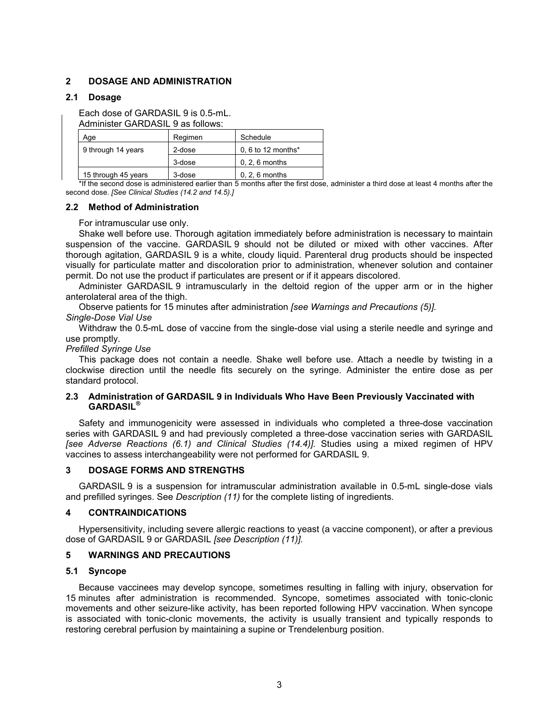## **2 DOSAGE AND ADMINISTRATION**

## **2.1 Dosage**

Each dose of GARDASIL 9 is 0.5-mL.

Administer GARDASIL 9 as follows:

| Aqe                 | Regimen | Schedule           |
|---------------------|---------|--------------------|
| 9 through 14 years  | 2-dose  | 0, 6 to 12 months* |
|                     | 3-dose  | $0, 2, 6$ months   |
| 15 through 45 years | 3-dose  | $0, 2, 6$ months   |

\*If the second dose is administered earlier than 5 months after the first dose, administer a third dose at least 4 months after the second dose. *[See Clinical Studies (14.2 and 14.5).]*

### **2.2 Method of Administration**

### For intramuscular use only.

Shake well before use. Thorough agitation immediately before administration is necessary to maintain suspension of the vaccine. GARDASIL 9 should not be diluted or mixed with other vaccines. After thorough agitation, GARDASIL 9 is a white, cloudy liquid. Parenteral drug products should be inspected visually for particulate matter and discoloration prior to administration, whenever solution and container permit. Do not use the product if particulates are present or if it appears discolored.

Administer GARDASIL 9 intramuscularly in the deltoid region of the upper arm or in the higher anterolateral area of the thigh.

Observe patients for 15 minutes after administration *[see Warnings and Precautions (5)]. Single-Dose Vial Use*

Withdraw the 0.5-mL dose of vaccine from the single-dose vial using a sterile needle and syringe and use promptly.

### *Prefilled Syringe Use*

This package does not contain a needle. Shake well before use. Attach a needle by twisting in a clockwise direction until the needle fits securely on the syringe. Administer the entire dose as per standard protocol.

## **2.3 Administration of GARDASIL 9 in Individuals Who Have Been Previously Vaccinated with GARDASIL®**

Safety and immunogenicity were assessed in individuals who completed a three-dose vaccination series with GARDASIL 9 and had previously completed a three-dose vaccination series with GARDASIL *[see Adverse Reactions (6.1) and Clinical Studies (14.4)].* Studies using a mixed regimen of HPV vaccines to assess interchangeability were not performed for GARDASIL 9.

#### **3 DOSAGE FORMS AND STRENGTHS**

GARDASIL 9 is a suspension for intramuscular administration available in 0.5-mL single-dose vials and prefilled syringes. See *Description (11)* for the complete listing of ingredients.

## **4 CONTRAINDICATIONS**

Hypersensitivity, including severe allergic reactions to yeast (a vaccine component), or after a previous dose of GARDASIL 9 or GARDASIL *[see Description (11)].*

## **5 WARNINGS AND PRECAUTIONS**

#### **5.1 Syncope**

Because vaccinees may develop syncope, sometimes resulting in falling with injury, observation for 15 minutes after administration is recommended. Syncope, sometimes associated with tonic-clonic movements and other seizure-like activity, has been reported following HPV vaccination. When syncope is associated with tonic-clonic movements, the activity is usually transient and typically responds to restoring cerebral perfusion by maintaining a supine or Trendelenburg position.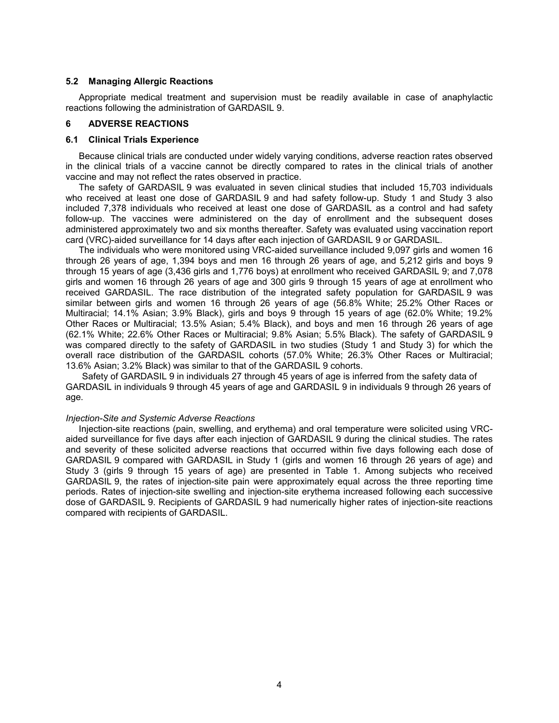#### **5.2 Managing Allergic Reactions**

Appropriate medical treatment and supervision must be readily available in case of anaphylactic reactions following the administration of GARDASIL 9.

## **6 ADVERSE REACTIONS**

#### **6.1 Clinical Trials Experience**

Because clinical trials are conducted under widely varying conditions, adverse reaction rates observed in the clinical trials of a vaccine cannot be directly compared to rates in the clinical trials of another vaccine and may not reflect the rates observed in practice.

The safety of GARDASIL 9 was evaluated in seven clinical studies that included 15,703 individuals who received at least one dose of GARDASIL 9 and had safety follow-up. Study 1 and Study 3 also included 7,378 individuals who received at least one dose of GARDASIL as a control and had safety follow-up. The vaccines were administered on the day of enrollment and the subsequent doses administered approximately two and six months thereafter. Safety was evaluated using vaccination report card (VRC)-aided surveillance for 14 days after each injection of GARDASIL 9 or GARDASIL.

The individuals who were monitored using VRC-aided surveillance included 9,097 girls and women 16 through 26 years of age, 1,394 boys and men 16 through 26 years of age, and 5,212 girls and boys 9 through 15 years of age (3,436 girls and 1,776 boys) at enrollment who received GARDASIL 9; and 7,078 girls and women 16 through 26 years of age and 300 girls 9 through 15 years of age at enrollment who received GARDASIL. The race distribution of the integrated safety population for GARDASIL 9 was similar between girls and women 16 through 26 years of age (56.8% White; 25.2% Other Races or Multiracial; 14.1% Asian; 3.9% Black), girls and boys 9 through 15 years of age (62.0% White; 19.2% Other Races or Multiracial; 13.5% Asian; 5.4% Black), and boys and men 16 through 26 years of age (62.1% White; 22.6% Other Races or Multiracial; 9.8% Asian; 5.5% Black). The safety of GARDASIL 9 was compared directly to the safety of GARDASIL in two studies (Study 1 and Study 3) for which the overall race distribution of the GARDASIL cohorts (57.0% White; 26.3% Other Races or Multiracial; 13.6% Asian; 3.2% Black) was similar to that of the GARDASIL 9 cohorts.

Safety of GARDASIL 9 in individuals 27 through 45 years of age is inferred from the safety data of GARDASIL in individuals 9 through 45 years of age and GARDASIL 9 in individuals 9 through 26 years of age.

#### *Injection-Site and Systemic Adverse Reactions*

Injection-site reactions (pain, swelling, and erythema) and oral temperature were solicited using VRCaided surveillance for five days after each injection of GARDASIL 9 during the clinical studies. The rates and severity of these solicited adverse reactions that occurred within five days following each dose of GARDASIL 9 compared with GARDASIL in Study 1 (girls and women 16 through 26 years of age) and Study 3 (girls 9 through 15 years of age) are presented in Table 1. Among subjects who received GARDASIL 9, the rates of injection-site pain were approximately equal across the three reporting time periods. Rates of injection-site swelling and injection-site erythema increased following each successive dose of GARDASIL 9. Recipients of GARDASIL 9 had numerically higher rates of injection-site reactions compared with recipients of GARDASIL.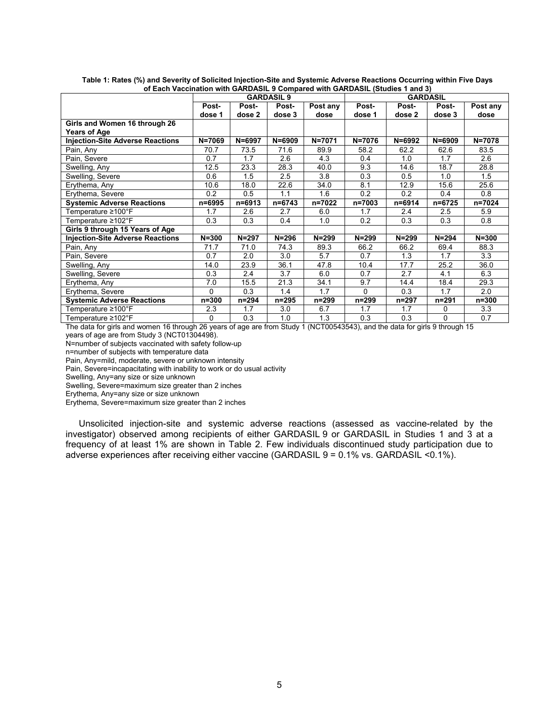|                                         | <b>GARDASIL 9</b> |            |            |           | <b>GARDASIL</b> |            |            |            |
|-----------------------------------------|-------------------|------------|------------|-----------|-----------------|------------|------------|------------|
|                                         | Post-             | Post-      | Post-      | Post any  | Post-           | Post-      | Post-      | Post any   |
|                                         | dose 1            | dose 2     | dose 3     | dose      | dose 1          | dose 2     | dose 3     | dose       |
| Girls and Women 16 through 26           |                   |            |            |           |                 |            |            |            |
| <b>Years of Age</b>                     |                   |            |            |           |                 |            |            |            |
| <b>Injection-Site Adverse Reactions</b> | $N = 7069$        | $N = 6997$ | $N = 6909$ | N=7071    | $N = 7076$      | $N = 6992$ | $N = 6909$ | $N = 7078$ |
| Pain, Any                               | 70.7              | 73.5       | 71.6       | 89.9      | 58.2            | 62.2       | 62.6       | 83.5       |
| Pain, Severe                            | 0.7               | 1.7        | 2.6        | 4.3       | 0.4             | 1.0        | 1.7        | 2.6        |
| Swelling, Any                           | 12.5              | 23.3       | 28.3       | 40.0      | 9.3             | 14.6       | 18.7       | 28.8       |
| Swelling, Severe                        | 0.6               | 1.5        | 2.5        | 3.8       | 0.3             | 0.5        | 1.0        | 1.5        |
| Erythema, Any                           | 10.6              | 18.0       | 22.6       | 34.0      | 8.1             | 12.9       | 15.6       | 25.6       |
| Erythema, Severe                        | 0.2               | 0.5        | 1.1        | 1.6       | 0.2             | 0.2        | 0.4        | 0.8        |
| <b>Systemic Adverse Reactions</b>       | n=6995            | $n = 6913$ | n=6743     | n=7022    | n=7003          | n=6914     | n=6725     | n=7024     |
| Temperature ≥100°F                      | 1.7               | 2.6        | 2.7        | 6.0       | 1.7             | 2.4        | 2.5        | 5.9        |
| Temperature ≥102°F                      | 0.3               | 0.3        | 0.4        | 1.0       | 0.2             | 0.3        | 0.3        | 0.8        |
| Girls 9 through 15 Years of Age         |                   |            |            |           |                 |            |            |            |
| <b>Injection-Site Adverse Reactions</b> | $N = 300$         | $N = 297$  | $N = 296$  | $N = 299$ | $N = 299$       | $N = 299$  | $N = 294$  | $N = 300$  |
| Pain, Any                               | 71.7              | 71.0       | 74.3       | 89.3      | 66.2            | 66.2       | 69.4       | 88.3       |
| Pain, Severe                            | 0.7               | 2.0        | 3.0        | 5.7       | 0.7             | 1.3        | 1.7        | 3.3        |
| Swelling, Any                           | 14.0              | 23.9       | 36.1       | 47.8      | 10.4            | 17.7       | 25.2       | 36.0       |
| Swelling, Severe                        | 0.3               | 2.4        | 3.7        | 6.0       | 0.7             | 2.7        | 4.1        | 6.3        |
| Erythema, Any                           | 7.0               | 15.5       | 21.3       | 34.1      | 9.7             | 14.4       | 18.4       | 29.3       |
| Erythema, Severe                        | 0                 | 0.3        | 1.4        | 1.7       | 0               | 0.3        | 1.7        | 2.0        |
| <b>Systemic Adverse Reactions</b>       | $n = 300$         | n=294      | $n = 295$  | n=299     | n=299           | n=297      | $n = 291$  | $n = 300$  |
| Temperature ≥100°F                      | 2.3               | 1.7        | 3.0        | 6.7       | 1.7             | 1.7        | 0          | 3.3        |
| Temperature $\geq 102^{\circ}$ F        | 0                 | 0.3        | 1.0        | 1.3       | 0.3             | 0.3        | 0          | 0.7        |

**Table 1: Rates (%) and Severity of Solicited Injection-Site and Systemic Adverse Reactions Occurring within Five Days of Each Vaccination with GARDASIL 9 Compared with GARDASIL (Studies 1 and 3)**

The data for girls and women 16 through 26 years of age are from Study 1 (NCT00543543), and the data for girls 9 through 15 years of age are from Study 3 (NCT01304498).

N=number of subjects vaccinated with safety follow-up

n=number of subjects with temperature data

Pain, Any=mild, moderate, severe or unknown intensity

Pain, Severe=incapacitating with inability to work or do usual activity

Swelling, Any=any size or size unknown

Swelling, Severe=maximum size greater than 2 inches

Erythema, Any=any size or size unknown

Erythema, Severe=maximum size greater than 2 inches

Unsolicited injection-site and systemic adverse reactions (assessed as vaccine-related by the investigator) observed among recipients of either GARDASIL 9 or GARDASIL in Studies 1 and 3 at a frequency of at least 1% are shown in Table 2. Few individuals discontinued study participation due to adverse experiences after receiving either vaccine (GARDASIL 9 = 0.1% vs. GARDASIL <0.1%).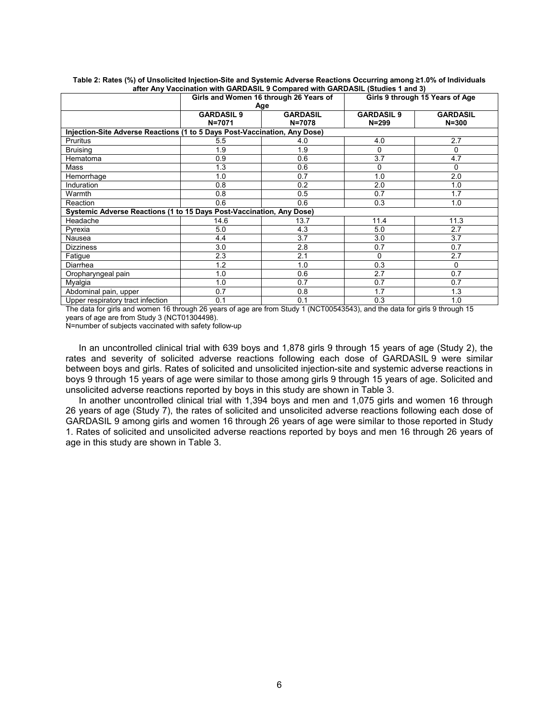|                                                                           | Girls and Women 16 through 26 Years of |                 | Girls 9 through 15 Years of Age |                 |  |  |  |
|---------------------------------------------------------------------------|----------------------------------------|-----------------|---------------------------------|-----------------|--|--|--|
|                                                                           |                                        | Age             |                                 |                 |  |  |  |
|                                                                           | <b>GARDASIL 9</b>                      | <b>GARDASIL</b> | <b>GARDASIL 9</b>               | <b>GARDASIL</b> |  |  |  |
|                                                                           | N=7071                                 | $N = 7078$      | $N = 299$                       | $N = 300$       |  |  |  |
| Injection-Site Adverse Reactions (1 to 5 Days Post-Vaccination, Any Dose) |                                        |                 |                                 |                 |  |  |  |
| <b>Pruritus</b>                                                           | 5.5                                    | 4.0             | 4.0                             | 2.7             |  |  |  |
| <b>Bruising</b>                                                           | 1.9                                    | 1.9             | 0                               | $\Omega$        |  |  |  |
| Hematoma                                                                  | 0.9                                    | 0.6             | 3.7                             | 4.7             |  |  |  |
| Mass                                                                      | 1.3                                    | 0.6             | 0                               | 0               |  |  |  |
| Hemorrhage                                                                | 1.0                                    | 0.7             | 1.0                             | 2.0             |  |  |  |
| Induration                                                                | 0.8                                    | 0.2             | 2.0                             | 1.0             |  |  |  |
| Warmth                                                                    | 0.8                                    | 0.5             | 0.7                             | 1.7             |  |  |  |
| Reaction                                                                  | 0.6                                    | 0.6             | 0.3                             | 1.0             |  |  |  |
| Systemic Adverse Reactions (1 to 15 Days Post-Vaccination, Any Dose)      |                                        |                 |                                 |                 |  |  |  |
| Headache                                                                  | 14.6                                   | 13.7            | 11.4                            | 11.3            |  |  |  |
| Pyrexia                                                                   | 5.0                                    | 4.3             | 5.0                             | 2.7             |  |  |  |
| Nausea                                                                    | 4.4                                    | 3.7             | 3.0                             | 3.7             |  |  |  |
| <b>Dizziness</b>                                                          | 3.0                                    | 2.8             | 0.7                             | 0.7             |  |  |  |
| Fatigue                                                                   | 2.3                                    | 2.1             | 0                               | 2.7             |  |  |  |
| Diarrhea                                                                  | 1.2                                    | 1.0             | 0.3                             | 0               |  |  |  |
| Oropharyngeal pain                                                        | 1.0                                    | 0.6             | 2.7                             | 0.7             |  |  |  |
| Myalgia                                                                   | 1.0                                    | 0.7             | 0.7                             | 0.7             |  |  |  |
| Abdominal pain, upper                                                     | 0.7                                    | 0.8             | 1.7                             | 1.3             |  |  |  |
| Upper respiratory tract infection                                         | 0.1                                    | 0.1             | 0.3                             | 1.0             |  |  |  |

**Table 2: Rates (%) of Unsolicited Injection-Site and Systemic Adverse Reactions Occurring among ≥1.0% of Individuals after Any Vaccination with GARDASIL 9 Compared with GARDASIL (Studies 1 and 3)**

The data for girls and women 16 through 26 years of age are from Study 1 (NCT00543543), and the data for girls 9 through 15 years of age are from Study 3 (NCT01304498).

N=number of subjects vaccinated with safety follow-up

In an uncontrolled clinical trial with 639 boys and 1,878 girls 9 through 15 years of age (Study 2), the rates and severity of solicited adverse reactions following each dose of GARDASIL 9 were similar between boys and girls. Rates of solicited and unsolicited injection-site and systemic adverse reactions in boys 9 through 15 years of age were similar to those among girls 9 through 15 years of age. Solicited and unsolicited adverse reactions reported by boys in this study are shown in Table 3.

In another uncontrolled clinical trial with 1,394 boys and men and 1,075 girls and women 16 through 26 years of age (Study 7), the rates of solicited and unsolicited adverse reactions following each dose of GARDASIL 9 among girls and women 16 through 26 years of age were similar to those reported in Study 1. Rates of solicited and unsolicited adverse reactions reported by boys and men 16 through 26 years of age in this study are shown in Table 3.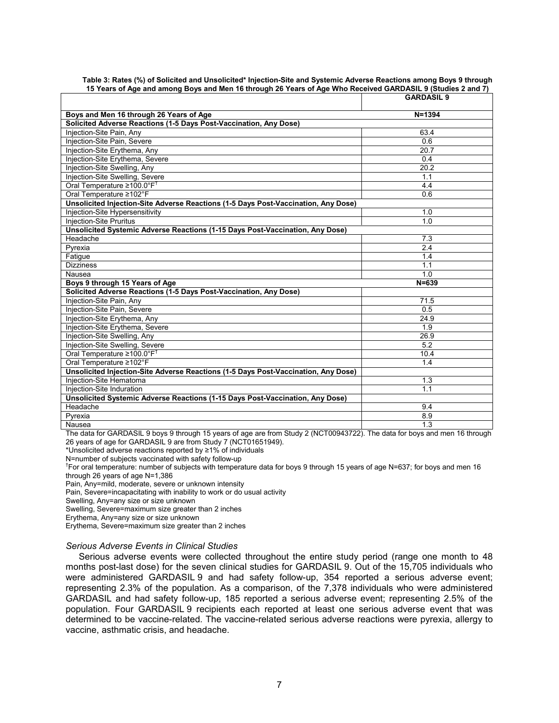|                                                                                    | <b>GARDASIL 9</b> |
|------------------------------------------------------------------------------------|-------------------|
| Boys and Men 16 through 26 Years of Age                                            | $N = 1394$        |
| Solicited Adverse Reactions (1-5 Days Post-Vaccination, Any Dose)                  |                   |
| Injection-Site Pain, Any                                                           | 63.4              |
| Injection-Site Pain, Severe                                                        | 0.6               |
| Injection-Site Erythema, Any                                                       | $\overline{20.7}$ |
| Injection-Site Erythema, Severe                                                    | 0.4               |
| Injection-Site Swelling, Any                                                       | $\overline{20.2}$ |
| Injection-Site Swelling, Severe                                                    | 1.1               |
| Oral Temperature ≥100.0°F <sup>†</sup>                                             | 4.4               |
| Oral Temperature ≥102°F                                                            | 0.6               |
| Unsolicited Injection-Site Adverse Reactions (1-5 Days Post-Vaccination, Any Dose) |                   |
| Injection-Site Hypersensitivity                                                    | 1.0               |
| <b>Injection-Site Pruritus</b>                                                     | 1.0               |
| Unsolicited Systemic Adverse Reactions (1-15 Days Post-Vaccination, Any Dose)      |                   |
| Headache                                                                           | 7.3               |
| Pyrexia                                                                            | 2.4               |
| Fatigue                                                                            | 1.4               |
| <b>Dizziness</b>                                                                   | 1.1               |
| Nausea                                                                             | 1.0               |
| Boys 9 through 15 Years of Age                                                     | $N = 639$         |
| Solicited Adverse Reactions (1-5 Days Post-Vaccination, Any Dose)                  |                   |
| Injection-Site Pain, Any                                                           | 71.5              |
| Injection-Site Pain, Severe                                                        | 0.5               |
| Injection-Site Erythema, Any                                                       | 24.9              |
| Injection-Site Erythema, Severe                                                    | 1.9               |
| Injection-Site Swelling, Any                                                       | 26.9              |
| Injection-Site Swelling, Severe                                                    | $\overline{5.2}$  |
| Oral Temperature ≥100.0°F <sup>†</sup>                                             | 10.4              |
| Oral Temperature ≥102°F                                                            | 1.4               |
| Unsolicited Injection-Site Adverse Reactions (1-5 Days Post-Vaccination, Any Dose) |                   |
| Iniection-Site Hematoma                                                            | 1.3               |
| Injection-Site Induration                                                          | 1.1               |
| Unsolicited Systemic Adverse Reactions (1-15 Days Post-Vaccination, Any Dose)      |                   |
| Headache                                                                           | 9.4               |
| Pyrexia                                                                            | 8.9               |
| Nausea                                                                             | $\overline{1.3}$  |

#### **Table 3: Rates (%) of Solicited and Unsolicited\* Injection-Site and Systemic Adverse Reactions among Boys 9 through 15 Years of Age and among Boys and Men 16 through 26 Years of Age Who Received GARDASIL 9 (Studies 2 and 7)**

The data for GARDASIL 9 boys 9 through 15 years of age are from Study 2 (NCT00943722). The data for boys and men 16 through 26 years of age for GARDASIL 9 are from Study 7 (NCT01651949).

\*Unsolicited adverse reactions reported by ≥1% of individuals

N=number of subjects vaccinated with safety follow-up

† For oral temperature: number of subjects with temperature data for boys 9 through 15 years of age N=637; for boys and men 16 through 26 years of age N=1,386

Pain, Any=mild, moderate, severe or unknown intensity

Pain, Severe=incapacitating with inability to work or do usual activity

Swelling, Any=any size or size unknown

Swelling, Severe=maximum size greater than 2 inches

Erythema, Any=any size or size unknown

Erythema, Severe=maximum size greater than 2 inches

#### *Serious Adverse Events in Clinical Studies*

Serious adverse events were collected throughout the entire study period (range one month to 48 months post-last dose) for the seven clinical studies for GARDASIL 9. Out of the 15,705 individuals who were administered GARDASIL 9 and had safety follow-up, 354 reported a serious adverse event; representing 2.3% of the population. As a comparison, of the 7,378 individuals who were administered GARDASIL and had safety follow-up, 185 reported a serious adverse event; representing 2.5% of the population. Four GARDASIL 9 recipients each reported at least one serious adverse event that was determined to be vaccine-related. The vaccine-related serious adverse reactions were pyrexia, allergy to vaccine, asthmatic crisis, and headache.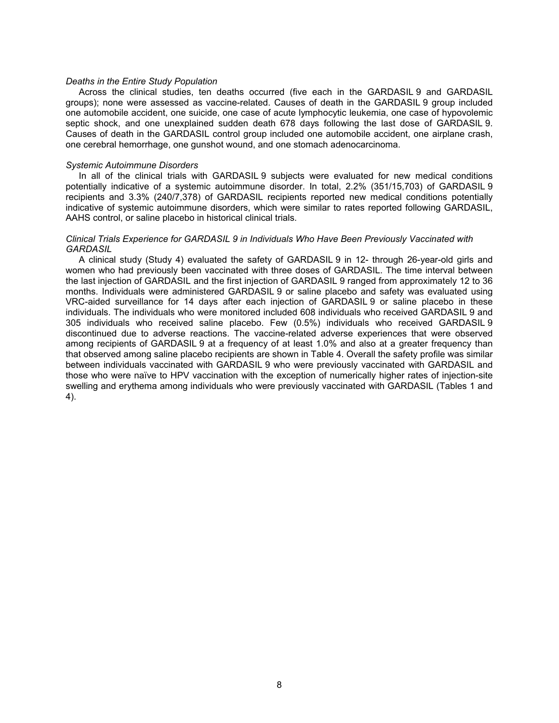#### *Deaths in the Entire Study Population*

Across the clinical studies, ten deaths occurred (five each in the GARDASIL 9 and GARDASIL groups); none were assessed as vaccine-related. Causes of death in the GARDASIL 9 group included one automobile accident, one suicide, one case of acute lymphocytic leukemia, one case of hypovolemic septic shock, and one unexplained sudden death 678 days following the last dose of GARDASIL 9. Causes of death in the GARDASIL control group included one automobile accident, one airplane crash, one cerebral hemorrhage, one gunshot wound, and one stomach adenocarcinoma.

#### *Systemic Autoimmune Disorders*

In all of the clinical trials with GARDASIL 9 subjects were evaluated for new medical conditions potentially indicative of a systemic autoimmune disorder. In total, 2.2% (351/15,703) of GARDASIL 9 recipients and 3.3% (240/7,378) of GARDASIL recipients reported new medical conditions potentially indicative of systemic autoimmune disorders, which were similar to rates reported following GARDASIL, AAHS control, or saline placebo in historical clinical trials.

### *Clinical Trials Experience for GARDASIL 9 in Individuals Who Have Been Previously Vaccinated with GARDASIL*

A clinical study (Study 4) evaluated the safety of GARDASIL 9 in 12- through 26-year-old girls and women who had previously been vaccinated with three doses of GARDASIL. The time interval between the last injection of GARDASIL and the first injection of GARDASIL 9 ranged from approximately 12 to 36 months. Individuals were administered GARDASIL 9 or saline placebo and safety was evaluated using VRC-aided surveillance for 14 days after each injection of GARDASIL 9 or saline placebo in these individuals. The individuals who were monitored included 608 individuals who received GARDASIL 9 and 305 individuals who received saline placebo. Few (0.5%) individuals who received GARDASIL 9 discontinued due to adverse reactions. The vaccine-related adverse experiences that were observed among recipients of GARDASIL 9 at a frequency of at least 1.0% and also at a greater frequency than that observed among saline placebo recipients are shown in Table 4. Overall the safety profile was similar between individuals vaccinated with GARDASIL 9 who were previously vaccinated with GARDASIL and those who were naïve to HPV vaccination with the exception of numerically higher rates of injection-site swelling and erythema among individuals who were previously vaccinated with GARDASIL (Tables 1 and 4).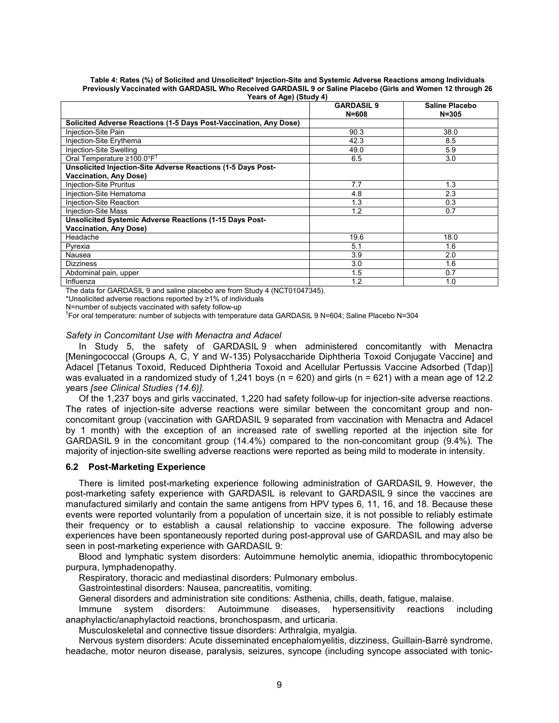|                                                                   | <b>GARDASIL 9</b><br>$N = 608$ | Saline Placebo<br>$N = 305$ |
|-------------------------------------------------------------------|--------------------------------|-----------------------------|
| Solicited Adverse Reactions (1-5 Days Post-Vaccination, Any Dose) |                                |                             |
| Injection-Site Pain                                               | 90.3                           | 38.0                        |
| Injection-Site Erythema                                           | 42.3                           | 8.5                         |
| Injection-Site Swelling                                           | 49.0                           | 5.9                         |
| Oral Temperature $\geq 100.0^{\circ}F^{T}$                        | 6.5                            | 3.0                         |
| Unsolicited Injection-Site Adverse Reactions (1-5 Days Post-      |                                |                             |
| <b>Vaccination, Any Dose)</b>                                     |                                |                             |
| <b>Injection-Site Pruritus</b>                                    | 7.7                            | 1.3                         |
| Injection-Site Hematoma                                           | 4.8                            | 2.3                         |
| Injection-Site Reaction                                           | 1.3                            | 0.3                         |
| <b>Injection-Site Mass</b>                                        | 1.2                            | 0.7                         |
| Unsolicited Systemic Adverse Reactions (1-15 Days Post-           |                                |                             |
| <b>Vaccination, Any Dose)</b>                                     |                                |                             |
| Headache                                                          | 19.6                           | 18.0                        |
| Pyrexia                                                           | 5.1                            | 1.6                         |
| Nausea                                                            | 3.9                            | 2.0                         |
| <b>Dizziness</b>                                                  | 3.0                            | 1.6                         |
| Abdominal pain, upper                                             | 1.5                            | 0.7                         |
| Influenza                                                         | 1.2                            | 1.0                         |

#### **Table 4: Rates (%) of Solicited and Unsolicited\* Injection-Site and Systemic Adverse Reactions among Individuals Previously Vaccinated with GARDASIL Who Received GARDASIL 9 or Saline Placebo (Girls and Women 12 through 26 Years of Age) (Study 4)**

The data for GARDASIL 9 and saline placebo are from Study 4 (NCT01047345).

\*Unsolicited adverse reactions reported by ≥1% of individuals

N=number of subjects vaccinated with safety follow-up

† For oral temperature: number of subjects with temperature data GARDASIL 9 N=604; Saline Placebo N=304

### *Safety in Concomitant Use with Menactra and Adacel*

In Study 5, the safety of GARDASIL 9 when administered concomitantly with Menactra [Meningococcal (Groups A, C, Y and W-135) Polysaccharide Diphtheria Toxoid Conjugate Vaccine] and Adacel [Tetanus Toxoid, Reduced Diphtheria Toxoid and Acellular Pertussis Vaccine Adsorbed (Tdap)] was evaluated in a randomized study of 1,241 boys (n = 620) and girls (n = 621) with a mean age of 12.2 years *[see Clinical Studies (14.6)]*.

Of the 1,237 boys and girls vaccinated, 1,220 had safety follow-up for injection-site adverse reactions. The rates of injection-site adverse reactions were similar between the concomitant group and nonconcomitant group (vaccination with GARDASIL 9 separated from vaccination with Menactra and Adacel by 1 month) with the exception of an increased rate of swelling reported at the injection site for GARDASIL 9 in the concomitant group (14.4%) compared to the non-concomitant group (9.4%). The majority of injection-site swelling adverse reactions were reported as being mild to moderate in intensity.

### **6.2 Post-Marketing Experience**

There is limited post-marketing experience following administration of GARDASIL 9. However, the post-marketing safety experience with GARDASIL is relevant to GARDASIL 9 since the vaccines are manufactured similarly and contain the same antigens from HPV types 6, 11, 16, and 18. Because these events were reported voluntarily from a population of uncertain size, it is not possible to reliably estimate their frequency or to establish a causal relationship to vaccine exposure. The following adverse experiences have been spontaneously reported during post-approval use of GARDASIL and may also be seen in post-marketing experience with GARDASIL 9:

Blood and lymphatic system disorders: Autoimmune hemolytic anemia, idiopathic thrombocytopenic purpura, lymphadenopathy.

Respiratory, thoracic and mediastinal disorders: Pulmonary embolus.

Gastrointestinal disorders: Nausea, pancreatitis, vomiting.

General disorders and administration site conditions: Asthenia, chills, death, fatigue, malaise.

Immune system disorders: Autoimmune diseases, hypersensitivity reactions including anaphylactic/anaphylactoid reactions, bronchospasm, and urticaria.

Musculoskeletal and connective tissue disorders: Arthralgia, myalgia.

Nervous system disorders: Acute disseminated encephalomyelitis, dizziness, Guillain-Barré syndrome, headache, motor neuron disease, paralysis, seizures, syncope (including syncope associated with tonic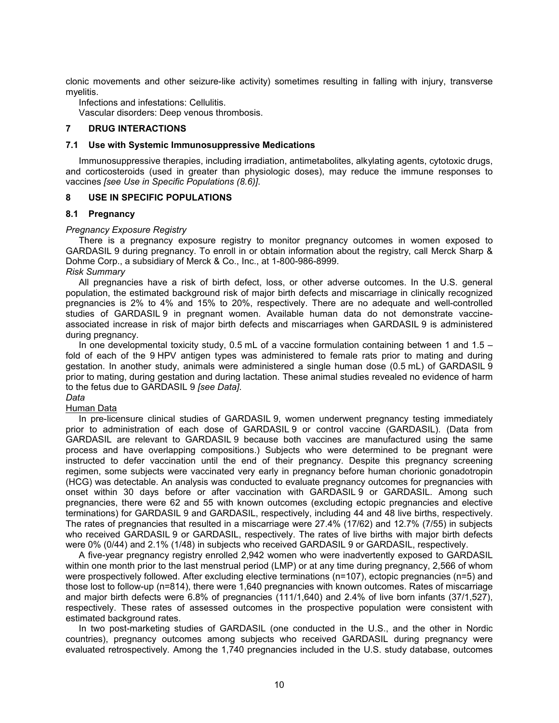clonic movements and other seizure-like activity) sometimes resulting in falling with injury, transverse myelitis.

Infections and infestations: Cellulitis.

Vascular disorders: Deep venous thrombosis.

### **7 DRUG INTERACTIONS**

#### **7.1 Use with Systemic Immunosuppressive Medications**

Immunosuppressive therapies, including irradiation, antimetabolites, alkylating agents, cytotoxic drugs, and corticosteroids (used in greater than physiologic doses), may reduce the immune responses to vaccines *[see Use in Specific Populations (8.6)]*.

### **8 USE IN SPECIFIC POPULATIONS**

### **8.1 Pregnancy**

### *Pregnancy Exposure Registry*

There is a pregnancy exposure registry to monitor pregnancy outcomes in women exposed to GARDASIL 9 during pregnancy. To enroll in or obtain information about the registry, call Merck Sharp & Dohme Corp., a subsidiary of Merck & Co., Inc., at 1-800-986-8999.

### *Risk Summary*

All pregnancies have a risk of birth defect, loss, or other adverse outcomes. In the U.S. general population, the estimated background risk of major birth defects and miscarriage in clinically recognized pregnancies is 2% to 4% and 15% to 20%, respectively. There are no adequate and well-controlled studies of GARDASIL 9 in pregnant women. Available human data do not demonstrate vaccineassociated increase in risk of major birth defects and miscarriages when GARDASIL 9 is administered during pregnancy.

In one developmental toxicity study,  $0.5$  mL of a vaccine formulation containing between 1 and  $1.5$  – fold of each of the 9 HPV antigen types was administered to female rats prior to mating and during gestation. In another study, animals were administered a single human dose (0.5 mL) of GARDASIL 9 prior to mating, during gestation and during lactation. These animal studies revealed no evidence of harm to the fetus due to GARDASIL 9 *[see Data]*.

## *Data*

### Human Data

In pre-licensure clinical studies of GARDASIL 9, women underwent pregnancy testing immediately prior to administration of each dose of GARDASIL 9 or control vaccine (GARDASIL). (Data from GARDASIL are relevant to GARDASIL 9 because both vaccines are manufactured using the same process and have overlapping compositions.) Subjects who were determined to be pregnant were instructed to defer vaccination until the end of their pregnancy. Despite this pregnancy screening regimen, some subjects were vaccinated very early in pregnancy before human chorionic gonadotropin (HCG) was detectable. An analysis was conducted to evaluate pregnancy outcomes for pregnancies with onset within 30 days before or after vaccination with GARDASIL 9 or GARDASIL. Among such pregnancies, there were 62 and 55 with known outcomes (excluding ectopic pregnancies and elective terminations) for GARDASIL 9 and GARDASIL, respectively, including 44 and 48 live births, respectively. The rates of pregnancies that resulted in a miscarriage were 27.4% (17/62) and 12.7% (7/55) in subjects who received GARDASIL 9 or GARDASIL, respectively. The rates of live births with major birth defects were 0% (0/44) and 2.1% (1/48) in subjects who received GARDASIL 9 or GARDASIL, respectively.

A five-year pregnancy registry enrolled 2,942 women who were inadvertently exposed to GARDASIL within one month prior to the last menstrual period (LMP) or at any time during pregnancy, 2,566 of whom were prospectively followed. After excluding elective terminations (n=107), ectopic pregnancies (n=5) and those lost to follow-up (n=814), there were 1,640 pregnancies with known outcomes. Rates of miscarriage and major birth defects were 6.8% of pregnancies (111/1,640) and 2.4% of live born infants (37/1,527), respectively. These rates of assessed outcomes in the prospective population were consistent with estimated background rates.

In two post-marketing studies of GARDASIL (one conducted in the U.S., and the other in Nordic countries), pregnancy outcomes among subjects who received GARDASIL during pregnancy were evaluated retrospectively. Among the 1,740 pregnancies included in the U.S. study database, outcomes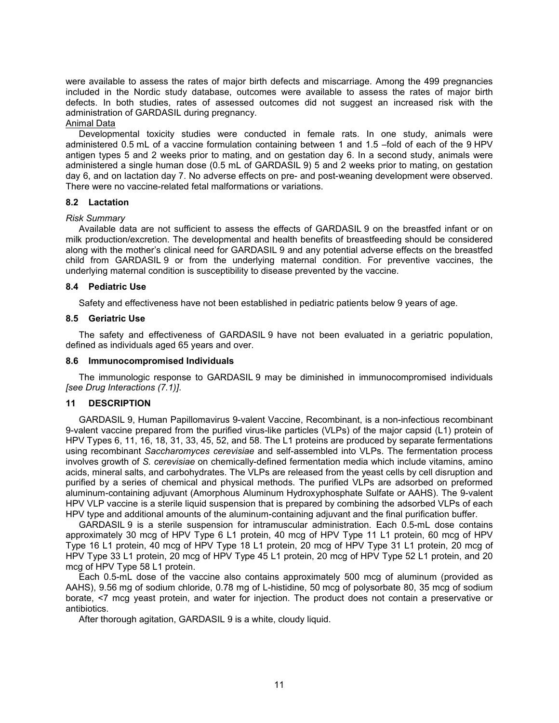were available to assess the rates of major birth defects and miscarriage. Among the 499 pregnancies included in the Nordic study database, outcomes were available to assess the rates of major birth defects. In both studies, rates of assessed outcomes did not suggest an increased risk with the administration of GARDASIL during pregnancy.

## Animal Data

Developmental toxicity studies were conducted in female rats. In one study, animals were administered 0.5 mL of a vaccine formulation containing between 1 and 1.5 –fold of each of the 9 HPV antigen types 5 and 2 weeks prior to mating, and on gestation day 6. In a second study, animals were administered a single human dose (0.5 mL of GARDASIL 9) 5 and 2 weeks prior to mating, on gestation day 6, and on lactation day 7. No adverse effects on pre- and post-weaning development were observed. There were no vaccine-related fetal malformations or variations.

### **8.2 Lactation**

### *Risk Summary*

Available data are not sufficient to assess the effects of GARDASIL 9 on the breastfed infant or on milk production/excretion. The developmental and health benefits of breastfeeding should be considered along with the mother's clinical need for GARDASIL 9 and any potential adverse effects on the breastfed child from GARDASIL 9 or from the underlying maternal condition. For preventive vaccines, the underlying maternal condition is susceptibility to disease prevented by the vaccine.

### **8.4 Pediatric Use**

Safety and effectiveness have not been established in pediatric patients below 9 years of age.

### **8.5 Geriatric Use**

The safety and effectiveness of GARDASIL 9 have not been evaluated in a geriatric population, defined as individuals aged 65 years and over.

## **8.6 Immunocompromised Individuals**

The immunologic response to GARDASIL 9 may be diminished in immunocompromised individuals *[see Drug Interactions (7.1)]*.

## **11 DESCRIPTION**

GARDASIL 9, Human Papillomavirus 9-valent Vaccine, Recombinant, is a non-infectious recombinant 9-valent vaccine prepared from the purified virus-like particles (VLPs) of the major capsid (L1) protein of HPV Types 6, 11, 16, 18, 31, 33, 45, 52, and 58. The L1 proteins are produced by separate fermentations using recombinant *Saccharomyces cerevisiae* and self-assembled into VLPs. The fermentation process involves growth of *S. cerevisiae* on chemically-defined fermentation media which include vitamins, amino acids, mineral salts, and carbohydrates. The VLPs are released from the yeast cells by cell disruption and purified by a series of chemical and physical methods. The purified VLPs are adsorbed on preformed aluminum-containing adjuvant (Amorphous Aluminum Hydroxyphosphate Sulfate or AAHS). The 9-valent HPV VLP vaccine is a sterile liquid suspension that is prepared by combining the adsorbed VLPs of each HPV type and additional amounts of the aluminum-containing adjuvant and the final purification buffer.

GARDASIL 9 is a sterile suspension for intramuscular administration. Each 0.5-mL dose contains approximately 30 mcg of HPV Type 6 L1 protein, 40 mcg of HPV Type 11 L1 protein, 60 mcg of HPV Type 16 L1 protein, 40 mcg of HPV Type 18 L1 protein, 20 mcg of HPV Type 31 L1 protein, 20 mcg of HPV Type 33 L1 protein, 20 mcg of HPV Type 45 L1 protein, 20 mcg of HPV Type 52 L1 protein, and 20 mcg of HPV Type 58 L1 protein.

Each 0.5-mL dose of the vaccine also contains approximately 500 mcg of aluminum (provided as AAHS), 9.56 mg of sodium chloride, 0.78 mg of L-histidine, 50 mcg of polysorbate 80, 35 mcg of sodium borate, <7 mcg yeast protein, and water for injection. The product does not contain a preservative or antibiotics.

After thorough agitation, GARDASIL 9 is a white, cloudy liquid.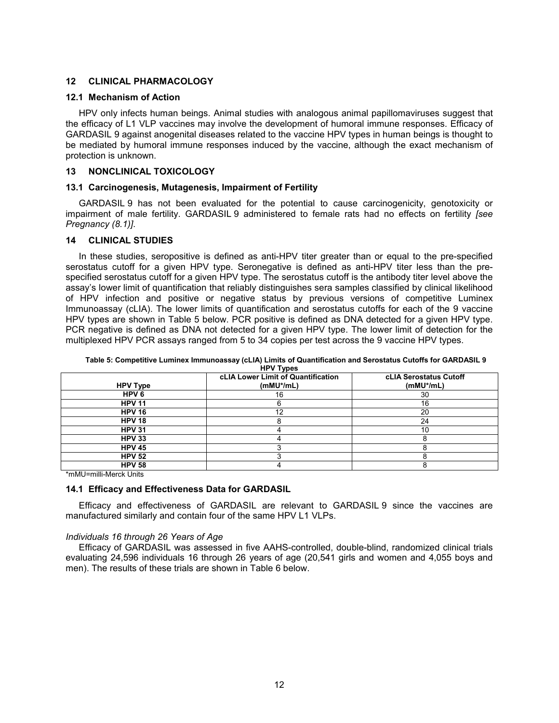## **12 CLINICAL PHARMACOLOGY**

#### **12.1 Mechanism of Action**

HPV only infects human beings. Animal studies with analogous animal papillomaviruses suggest that the efficacy of L1 VLP vaccines may involve the development of humoral immune responses. Efficacy of GARDASIL 9 against anogenital diseases related to the vaccine HPV types in human beings is thought to be mediated by humoral immune responses induced by the vaccine, although the exact mechanism of protection is unknown.

## **13 NONCLINICAL TOXICOLOGY**

### **13.1 Carcinogenesis, Mutagenesis, Impairment of Fertility**

GARDASIL 9 has not been evaluated for the potential to cause carcinogenicity, genotoxicity or impairment of male fertility. GARDASIL 9 administered to female rats had no effects on fertility *[see Pregnancy (8.1)]*.

## **14 CLINICAL STUDIES**

In these studies, seropositive is defined as anti-HPV titer greater than or equal to the pre-specified serostatus cutoff for a given HPV type. Seronegative is defined as anti-HPV titer less than the prespecified serostatus cutoff for a given HPV type. The serostatus cutoff is the antibody titer level above the assay's lower limit of quantification that reliably distinguishes sera samples classified by clinical likelihood of HPV infection and positive or negative status by previous versions of competitive Luminex Immunoassay (cLIA). The lower limits of quantification and serostatus cutoffs for each of the 9 vaccine HPV types are shown in Table 5 below. PCR positive is defined as DNA detected for a given HPV type. PCR negative is defined as DNA not detected for a given HPV type. The lower limit of detection for the multiplexed HPV PCR assays ranged from 5 to 34 copies per test across the 9 vaccine HPV types.

| <b>HPV Type</b>  | cLIA Lower Limit of Quantification<br>$(mMU*/mL)$ | cLIA Serostatus Cutoff<br>$(mMU^*/mL)$ |
|------------------|---------------------------------------------------|----------------------------------------|
| HPV <sub>6</sub> | 16                                                | 30                                     |
| <b>HPV 11</b>    |                                                   | 16                                     |
| <b>HPV 16</b>    | ィウ                                                | 20                                     |
| <b>HPV 18</b>    |                                                   | 24                                     |
| <b>HPV 31</b>    |                                                   | 10                                     |
| <b>HPV 33</b>    |                                                   |                                        |
| <b>HPV 45</b>    |                                                   |                                        |
| <b>HPV 52</b>    |                                                   |                                        |
| <b>HPV 58</b>    |                                                   |                                        |

**Table 5: Competitive Luminex Immunoassay (cLIA) Limits of Quantification and Serostatus Cutoffs for GARDASIL 9** 

\*mMU=milli-Merck Units

### **14.1 Efficacy and Effectiveness Data for GARDASIL**

Efficacy and effectiveness of GARDASIL are relevant to GARDASIL 9 since the vaccines are manufactured similarly and contain four of the same HPV L1 VLPs.

#### *Individuals 16 through 26 Years of Age*

Efficacy of GARDASIL was assessed in five AAHS-controlled, double-blind, randomized clinical trials evaluating 24,596 individuals 16 through 26 years of age (20,541 girls and women and 4,055 boys and men). The results of these trials are shown in Table 6 below.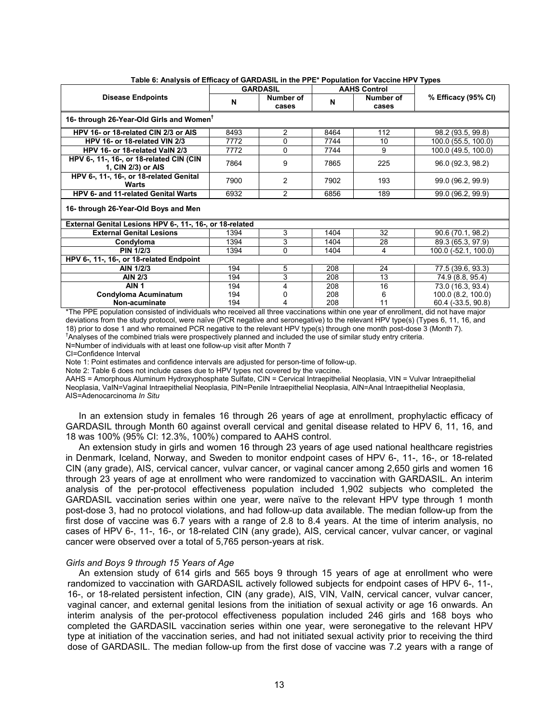| $\frac{1}{2}$                                                  |            | <b>GARDASIL</b>    |            | <b>AAHS Control</b> |                                          |  |  |  |
|----------------------------------------------------------------|------------|--------------------|------------|---------------------|------------------------------------------|--|--|--|
| <b>Disease Endpoints</b>                                       | N          | Number of<br>cases | N          | Number of<br>cases  | % Efficacy (95% CI)                      |  |  |  |
| 16- through 26-Year-Old Girls and Women <sup>†</sup>           |            |                    |            |                     |                                          |  |  |  |
| HPV 16- or 18-related CIN 2/3 or AIS                           | 8493       | 2                  | 8464       | 112                 | 98.2 (93.5, 99.8)                        |  |  |  |
| HPV 16- or 18-related VIN 2/3                                  | 7772       | 0                  | 7744       | 10                  | 100.0 (55.5, 100.0)                      |  |  |  |
| HPV 16- or 18-related VaIN 2/3                                 | 7772       | $\Omega$           | 7744       | 9                   | 100.0 (49.5, 100.0)                      |  |  |  |
| HPV 6-, 11-, 16-, or 18-related CIN (CIN<br>1, CIN 2/3) or AIS | 7864       | 9                  | 7865       | 225                 | 96.0 (92.3, 98.2)                        |  |  |  |
| HPV 6-, 11-, 16-, or 18-related Genital<br>Warts               | 7900       | 2                  | 7902       | 193                 | 99.0 (96.2, 99.9)                        |  |  |  |
| HPV 6- and 11-related Genital Warts                            | 6932       | $\overline{2}$     | 6856       | 189                 | 99.0 (96.2, 99.9)                        |  |  |  |
| 16- through 26-Year-Old Boys and Men                           |            |                    |            |                     |                                          |  |  |  |
| External Genital Lesions HPV 6-, 11-, 16-, or 18-related       |            |                    |            |                     |                                          |  |  |  |
| <b>External Genital Lesions</b>                                | 1394       | 3                  | 1404       | 32                  | 90.6 (70.1, 98.2)                        |  |  |  |
| Condyloma                                                      | 1394       | 3                  | 1404       | 28                  | 89.3 (65.3, 97.9)                        |  |  |  |
| <b>PIN 1/2/3</b>                                               | 1394       | $\Omega$           | 1404       | 4                   | 100.0 (-52.1, 100.0)                     |  |  |  |
| HPV 6-, 11-, 16-, or 18-related Endpoint                       |            |                    |            |                     |                                          |  |  |  |
| AIN 1/2/3                                                      | 194        | 5                  | 208        | 24                  | 77.5 (39.6, 93.3)                        |  |  |  |
| <b>AIN 2/3</b>                                                 | 194        | 3                  | 208        | 13                  | 74.9 (8.8, 95.4)                         |  |  |  |
| AIN <sub>1</sub>                                               | 194        | 4                  | 208        | 16                  | 73.0 (16.3, 93.4)                        |  |  |  |
| <b>Condyloma Acuminatum</b><br>Non-acuminate                   | 194<br>194 | 4                  | 208<br>208 | 6<br>11             | 100.0 (8.2, 100.0)<br>60.4 (-33.5, 90.8) |  |  |  |
|                                                                |            |                    |            |                     |                                          |  |  |  |

#### **Table 6: Analysis of Efficacy of GARDASIL in the PPE\* Population for Vaccine HPV Types**

\*The PPE population consisted of individuals who received all three vaccinations within one year of enrollment, did not have major deviations from the study protocol, were naïve (PCR negative and seronegative) to the relevant HPV type(s) (Types 6, 11, 16, and 18) prior to dose 1 and who remained PCR negative to the relevant HPV type(s) through one month post-dose 3 (Month 7). †Analyses of the combined trials were prospectively planned and included the use of similar study entry criteria.

N=Number of individuals with at least one follow-up visit after Month 7

CI=Confidence Interval

Note 1: Point estimates and confidence intervals are adjusted for person-time of follow-up.

Note 2: Table 6 does not include cases due to HPV types not covered by the vaccine.

AAHS = Amorphous Aluminum Hydroxyphosphate Sulfate, CIN = Cervical Intraepithelial Neoplasia, VIN = Vulvar Intraepithelial Neoplasia, VaIN=Vaginal Intraepithelial Neoplasia, PIN=Penile Intraepithelial Neoplasia, AIN=Anal Intraepithelial Neoplasia, AIS=Adenocarcinoma *In Situ*

In an extension study in females 16 through 26 years of age at enrollment, prophylactic efficacy of GARDASIL through Month 60 against overall cervical and genital disease related to HPV 6, 11, 16, and 18 was 100% (95% CI: 12.3%, 100%) compared to AAHS control.

An extension study in girls and women 16 through 23 years of age used national healthcare registries in Denmark, Iceland, Norway, and Sweden to monitor endpoint cases of HPV 6-, 11-, 16-, or 18-related CIN (any grade), AIS, cervical cancer, vulvar cancer, or vaginal cancer among 2,650 girls and women 16 through 23 years of age at enrollment who were randomized to vaccination with GARDASIL. An interim analysis of the per-protocol effectiveness population included 1,902 subjects who completed the GARDASIL vaccination series within one year, were naïve to the relevant HPV type through 1 month post-dose 3, had no protocol violations, and had follow-up data available. The median follow-up from the first dose of vaccine was 6.7 years with a range of 2.8 to 8.4 years. At the time of interim analysis, no cases of HPV 6-, 11-, 16-, or 18-related CIN (any grade), AIS, cervical cancer, vulvar cancer, or vaginal cancer were observed over a total of 5,765 person-years at risk.

## *Girls and Boys 9 through 15 Years of Age*

An extension study of 614 girls and 565 boys 9 through 15 years of age at enrollment who were randomized to vaccination with GARDASIL actively followed subjects for endpoint cases of HPV 6-, 11-, 16-, or 18-related persistent infection, CIN (any grade), AIS, VIN, VaIN, cervical cancer, vulvar cancer, vaginal cancer, and external genital lesions from the initiation of sexual activity or age 16 onwards. An interim analysis of the per-protocol effectiveness population included 246 girls and 168 boys who completed the GARDASIL vaccination series within one year, were seronegative to the relevant HPV type at initiation of the vaccination series, and had not initiated sexual activity prior to receiving the third dose of GARDASIL. The median follow-up from the first dose of vaccine was 7.2 years with a range of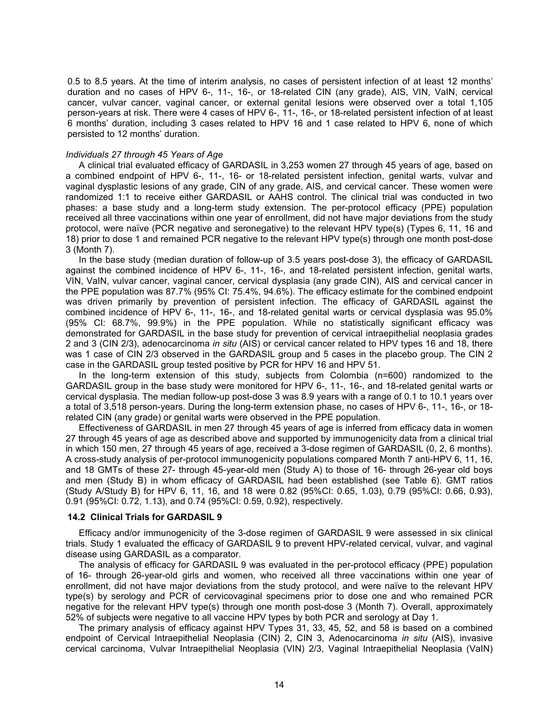0.5 to 8.5 years. At the time of interim analysis, no cases of persistent infection of at least 12 months' duration and no cases of HPV 6-, 11-, 16-, or 18-related CIN (any grade), AIS, VIN, VaIN, cervical cancer, vulvar cancer, vaginal cancer, or external genital lesions were observed over a total 1,105 person-years at risk. There were 4 cases of HPV 6-, 11-, 16-, or 18-related persistent infection of at least 6 months' duration, including 3 cases related to HPV 16 and 1 case related to HPV 6, none of which persisted to 12 months' duration.

#### *Individuals 27 through 45 Years of Age*

A clinical trial evaluated efficacy of GARDASIL in 3,253 women 27 through 45 years of age, based on a combined endpoint of HPV 6-, 11-, 16- or 18-related persistent infection, genital warts, vulvar and vaginal dysplastic lesions of any grade, CIN of any grade, AIS, and cervical cancer. These women were randomized 1:1 to receive either GARDASIL or AAHS control. The clinical trial was conducted in two phases: a base study and a long-term study extension. The per-protocol efficacy (PPE) population received all three vaccinations within one year of enrollment, did not have major deviations from the study protocol, were naïve (PCR negative and seronegative) to the relevant HPV type(s) (Types 6, 11, 16 and 18) prior to dose 1 and remained PCR negative to the relevant HPV type(s) through one month post-dose 3 (Month 7).

In the base study (median duration of follow-up of 3.5 years post-dose 3), the efficacy of GARDASIL against the combined incidence of HPV 6-, 11-, 16-, and 18-related persistent infection, genital warts, VIN, VaIN, vulvar cancer, vaginal cancer, cervical dysplasia (any grade CIN), AIS and cervical cancer in the PPE population was 87.7% (95% CI: 75.4%, 94.6%). The efficacy estimate for the combined endpoint was driven primarily by prevention of persistent infection. The efficacy of GARDASIL against the combined incidence of HPV 6-, 11-, 16-, and 18-related genital warts or cervical dysplasia was 95.0% (95% CI: 68.7%, 99.9%) in the PPE population. While no statistically significant efficacy was demonstrated for GARDASIL in the base study for prevention of cervical intraepithelial neoplasia grades 2 and 3 (CIN 2/3), adenocarcinoma *in situ* (AIS) or cervical cancer related to HPV types 16 and 18, there was 1 case of CIN 2/3 observed in the GARDASIL group and 5 cases in the placebo group. The CIN 2 case in the GARDASIL group tested positive by PCR for HPV 16 and HPV 51.

In the long-term extension of this study, subjects from Colombia (n=600) randomized to the GARDASIL group in the base study were monitored for HPV 6-, 11-, 16-, and 18-related genital warts or cervical dysplasia. The median follow-up post-dose 3 was 8.9 years with a range of 0.1 to 10.1 years over a total of 3,518 person-years. During the long-term extension phase, no cases of HPV 6-, 11-, 16-, or 18 related CIN (any grade) or genital warts were observed in the PPE population.

Effectiveness of GARDASIL in men 27 through 45 years of age is inferred from efficacy data in women 27 through 45 years of age as described above and supported by immunogenicity data from a clinical trial in which 150 men, 27 through 45 years of age, received a 3-dose regimen of GARDASIL (0, 2, 6 months). A cross-study analysis of per-protocol immunogenicity populations compared Month 7 anti-HPV 6, 11, 16, and 18 GMTs of these 27- through 45-year-old men (Study A) to those of 16- through 26-year old boys and men (Study B) in whom efficacy of GARDASIL had been established (see Table 6). GMT ratios (Study A/Study B) for HPV 6, 11, 16, and 18 were 0.82 (95%CI: 0.65, 1.03), 0.79 (95%CI: 0.66, 0.93), 0.91 (95%CI: 0.72, 1.13), and 0.74 (95%CI: 0.59, 0.92), respectively.

## **14.2 Clinical Trials for GARDASIL 9**

Efficacy and/or immunogenicity of the 3-dose regimen of GARDASIL 9 were assessed in six clinical trials. Study 1 evaluated the efficacy of GARDASIL 9 to prevent HPV-related cervical, vulvar, and vaginal disease using GARDASIL as a comparator.

The analysis of efficacy for GARDASIL 9 was evaluated in the per-protocol efficacy (PPE) population of 16- through 26-year-old girls and women, who received all three vaccinations within one year of enrollment, did not have major deviations from the study protocol, and were naïve to the relevant HPV type(s) by serology and PCR of cervicovaginal specimens prior to dose one and who remained PCR negative for the relevant HPV type(s) through one month post-dose 3 (Month 7). Overall, approximately 52% of subjects were negative to all vaccine HPV types by both PCR and serology at Day 1.

The primary analysis of efficacy against HPV Types 31, 33, 45, 52, and 58 is based on a combined endpoint of Cervical Intraepithelial Neoplasia (CIN) 2, CIN 3, Adenocarcinoma *in situ* (AIS), invasive cervical carcinoma, Vulvar Intraepithelial Neoplasia (VIN) 2/3, Vaginal Intraepithelial Neoplasia (VaIN)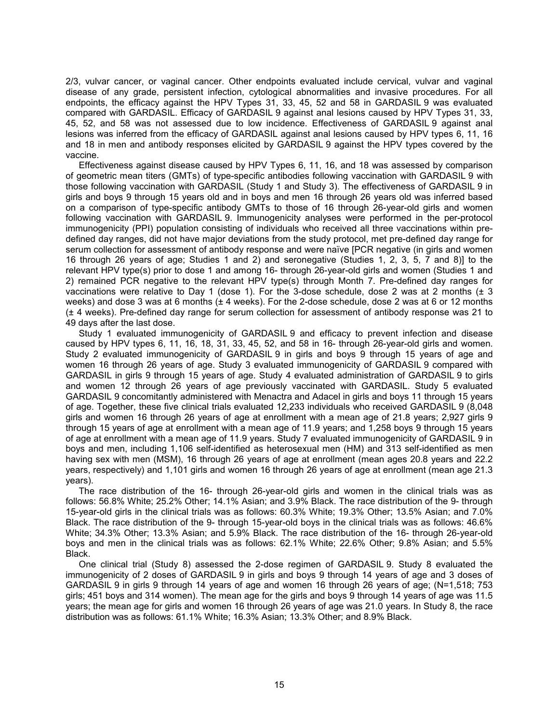2/3, vulvar cancer, or vaginal cancer. Other endpoints evaluated include cervical, vulvar and vaginal disease of any grade, persistent infection, cytological abnormalities and invasive procedures. For all endpoints, the efficacy against the HPV Types 31, 33, 45, 52 and 58 in GARDASIL 9 was evaluated compared with GARDASIL. Efficacy of GARDASIL 9 against anal lesions caused by HPV Types 31, 33, 45, 52, and 58 was not assessed due to low incidence. Effectiveness of GARDASIL 9 against anal lesions was inferred from the efficacy of GARDASIL against anal lesions caused by HPV types 6, 11, 16 and 18 in men and antibody responses elicited by GARDASIL 9 against the HPV types covered by the vaccine.

Effectiveness against disease caused by HPV Types 6, 11, 16, and 18 was assessed by comparison of geometric mean titers (GMTs) of type-specific antibodies following vaccination with GARDASIL 9 with those following vaccination with GARDASIL (Study 1 and Study 3). The effectiveness of GARDASIL 9 in girls and boys 9 through 15 years old and in boys and men 16 through 26 years old was inferred based on a comparison of type-specific antibody GMTs to those of 16 through 26-year-old girls and women following vaccination with GARDASIL 9. Immunogenicity analyses were performed in the per-protocol immunogenicity (PPI) population consisting of individuals who received all three vaccinations within predefined day ranges, did not have major deviations from the study protocol, met pre-defined day range for serum collection for assessment of antibody response and were naïve [PCR negative (in girls and women 16 through 26 years of age; Studies 1 and 2) and seronegative (Studies 1, 2, 3, 5, 7 and 8)] to the relevant HPV type(s) prior to dose 1 and among 16- through 26-year-old girls and women (Studies 1 and 2) remained PCR negative to the relevant HPV type(s) through Month 7. Pre-defined day ranges for vaccinations were relative to Day 1 (dose 1). For the 3-dose schedule, dose 2 was at 2 months  $(± 3$ weeks) and dose 3 was at 6 months (± 4 weeks). For the 2-dose schedule, dose 2 was at 6 or 12 months (± 4 weeks). Pre-defined day range for serum collection for assessment of antibody response was 21 to 49 days after the last dose.

Study 1 evaluated immunogenicity of GARDASIL 9 and efficacy to prevent infection and disease caused by HPV types 6, 11, 16, 18, 31, 33, 45, 52, and 58 in 16- through 26-year-old girls and women. Study 2 evaluated immunogenicity of GARDASIL 9 in girls and boys 9 through 15 years of age and women 16 through 26 years of age. Study 3 evaluated immunogenicity of GARDASIL 9 compared with GARDASIL in girls 9 through 15 years of age. Study 4 evaluated administration of GARDASIL 9 to girls and women 12 through 26 years of age previously vaccinated with GARDASIL. Study 5 evaluated GARDASIL 9 concomitantly administered with Menactra and Adacel in girls and boys 11 through 15 years of age. Together, these five clinical trials evaluated 12,233 individuals who received GARDASIL 9 (8,048 girls and women 16 through 26 years of age at enrollment with a mean age of 21.8 years; 2,927 girls 9 through 15 years of age at enrollment with a mean age of 11.9 years; and 1,258 boys 9 through 15 years of age at enrollment with a mean age of 11.9 years. Study 7 evaluated immunogenicity of GARDASIL 9 in boys and men, including 1,106 self-identified as heterosexual men (HM) and 313 self-identified as men having sex with men (MSM), 16 through 26 years of age at enrollment (mean ages 20.8 years and 22.2 years, respectively) and 1,101 girls and women 16 through 26 years of age at enrollment (mean age 21.3 years).

The race distribution of the 16- through 26-year-old girls and women in the clinical trials was as follows: 56.8% White; 25.2% Other; 14.1% Asian; and 3.9% Black. The race distribution of the 9- through 15-year-old girls in the clinical trials was as follows: 60.3% White; 19.3% Other; 13.5% Asian; and 7.0% Black. The race distribution of the 9- through 15-year-old boys in the clinical trials was as follows: 46.6% White; 34.3% Other; 13.3% Asian; and 5.9% Black. The race distribution of the 16- through 26-year-old boys and men in the clinical trials was as follows: 62.1% White; 22.6% Other; 9.8% Asian; and 5.5% Black.

One clinical trial (Study 8) assessed the 2-dose regimen of GARDASIL 9. Study 8 evaluated the immunogenicity of 2 doses of GARDASIL 9 in girls and boys 9 through 14 years of age and 3 doses of GARDASIL 9 in girls 9 through 14 years of age and women 16 through 26 years of age; (N=1,518; 753 girls; 451 boys and 314 women). The mean age for the girls and boys 9 through 14 years of age was 11.5 years; the mean age for girls and women 16 through 26 years of age was 21.0 years. In Study 8, the race distribution was as follows: 61.1% White; 16.3% Asian; 13.3% Other; and 8.9% Black.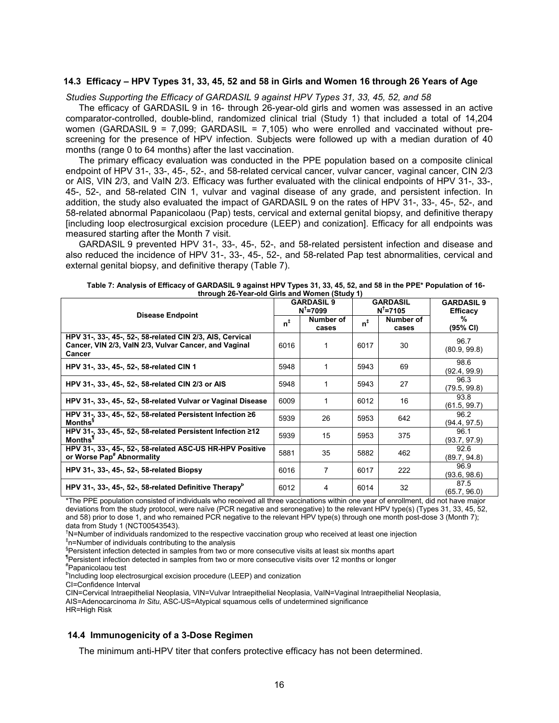#### **14.3 Efficacy – HPV Types 31, 33, 45, 52 and 58 in Girls and Women 16 through 26 Years of Age**

*Studies Supporting the Efficacy of GARDASIL 9 against HPV Types 31, 33, 45, 52, and 58*

The efficacy of GARDASIL 9 in 16- through 26-year-old girls and women was assessed in an active comparator-controlled, double-blind, randomized clinical trial (Study 1) that included a total of 14,204 women (GARDASIL 9 = 7,099; GARDASIL = 7,105) who were enrolled and vaccinated without prescreening for the presence of HPV infection. Subjects were followed up with a median duration of 40 months (range 0 to 64 months) after the last vaccination.

The primary efficacy evaluation was conducted in the PPE population based on a composite clinical endpoint of HPV 31-, 33-, 45-, 52-, and 58-related cervical cancer, vulvar cancer, vaginal cancer, CIN 2/3 or AIS, VIN 2/3, and VaIN 2/3. Efficacy was further evaluated with the clinical endpoints of HPV 31-, 33-, 45-, 52-, and 58-related CIN 1, vulvar and vaginal disease of any grade, and persistent infection. In addition, the study also evaluated the impact of GARDASIL 9 on the rates of HPV 31-, 33-, 45-, 52-, and 58-related abnormal Papanicolaou (Pap) tests, cervical and external genital biopsy, and definitive therapy [including loop electrosurgical excision procedure (LEEP) and conization]. Efficacy for all endpoints was measured starting after the Month 7 visit.

GARDASIL 9 prevented HPV 31-, 33-, 45-, 52-, and 58-related persistent infection and disease and also reduced the incidence of HPV 31-, 33-, 45-, 52-, and 58-related Pap test abnormalities, cervical and external genital biopsy, and definitive therapy (Table 7).

| unough zo-rear-old Olits and Women (Study T)                                                                                 |      |                                           |                |                                         |                                      |  |  |
|------------------------------------------------------------------------------------------------------------------------------|------|-------------------------------------------|----------------|-----------------------------------------|--------------------------------------|--|--|
| <b>Disease Endpoint</b>                                                                                                      |      | <b>GARDASIL 9</b><br>$N^{\dagger} = 7099$ |                | <b>GARDASIL</b><br>$N^{\dagger} = 7105$ | <b>GARDASIL 9</b><br><b>Efficacy</b> |  |  |
|                                                                                                                              |      | Number of<br>cases                        | $n^{\ddagger}$ | Number of<br>cases                      | %<br>(95% CI)                        |  |  |
| HPV 31-, 33-, 45-, 52-, 58-related CIN 2/3, AIS, Cervical<br>Cancer, VIN 2/3, VaIN 2/3, Vulvar Cancer, and Vaginal<br>Cancer | 6016 |                                           | 6017           | 30                                      | 96.7<br>(80.9, 99.8)                 |  |  |
| HPV 31-, 33-, 45-, 52-, 58-related CIN 1                                                                                     | 5948 |                                           | 5943           | 69                                      | 98.6<br>(92.4, 99.9)                 |  |  |
| HPV 31-, 33-, 45-, 52-, 58-related CIN 2/3 or AIS                                                                            | 5948 |                                           | 5943           | 27                                      | 96.3<br>(79.5, 99.8)                 |  |  |
| HPV 31-, 33-, 45-, 52-, 58-related Vulvar or Vaginal Disease                                                                 | 6009 |                                           | 6012           | 16                                      | 93.8<br>(61.5, 99.7)                 |  |  |
| HPV 31-, 33-, 45-, 52-, 58-related Persistent Infection $\geq 6$<br><b>Months</b> <sup>§</sup>                               | 5939 | 26                                        | 5953           | 642                                     | 96.2<br>(94.4, 97.5)                 |  |  |
| HPV 31-, 33-, 45-, 52-, 58-related Persistent Infection ≥12<br>Months <sup>1</sup>                                           | 5939 | 15                                        | 5953           | 375                                     | 96.1<br>(93.7, 97.9)                 |  |  |
| HPV 31-, 33-, 45-, 52-, 58-related ASC-US HR-HPV Positive<br>or Worse Pap <sup>#</sup> Abnormality                           | 5881 | 35                                        | 5882           | 462                                     | 92.6<br>(89.7, 94.8)                 |  |  |
| HPV 31-, 33-, 45-, 52-, 58-related Biopsy                                                                                    | 6016 | 7                                         | 6017           | 222                                     | 96.9<br>(93.6, 98.6)                 |  |  |
| HPV 31-, 33-, 45-, 52-, 58-related Definitive Therapy <sup>P</sup>                                                           | 6012 | 4                                         | 6014           | 32                                      | 87.5<br>(65.7, 96.0)                 |  |  |

| Table 7: Analysis of Efficacy of GARDASIL 9 against HPV Types 31, 33, 45, 52, and 58 in the PPE* Population of 16- |
|--------------------------------------------------------------------------------------------------------------------|
| through 26-Year-old Girls and Women (Study 1)                                                                      |

\*The PPE population consisted of individuals who received all three vaccinations within one year of enrollment, did not have major deviations from the study protocol, were naïve (PCR negative and seronegative) to the relevant HPV type(s) (Types 31, 33, 45, 52, and 58) prior to dose 1, and who remained PCR negative to the relevant HPV type(s) through one month post-dose 3 (Month 7); data from Study 1 (NCT00543543).

<sup>†</sup>N=Number of individuals randomized to the respective vaccination group who received at least one injection ‡ n=Number of individuals contributing to the analysis

§Persistent infection detected in samples from two or more consecutive visits at least six months apart

¶Persistent infection detected in samples from two or more consecutive visits over 12 months or longer #Papanicolaou test

<sup>b</sup>Including loop electrosurgical excision procedure (LEEP) and conization

CI=Confidence Interval

CIN=Cervical Intraepithelial Neoplasia, VIN=Vulvar Intraepithelial Neoplasia, VaIN=Vaginal Intraepithelial Neoplasia, AIS=Adenocarcinoma *In Situ*, ASC-US=Atypical squamous cells of undetermined significance HR=High Risk

### **14.4 Immunogenicity of a 3-Dose Regimen**

The minimum anti-HPV titer that confers protective efficacy has not been determined.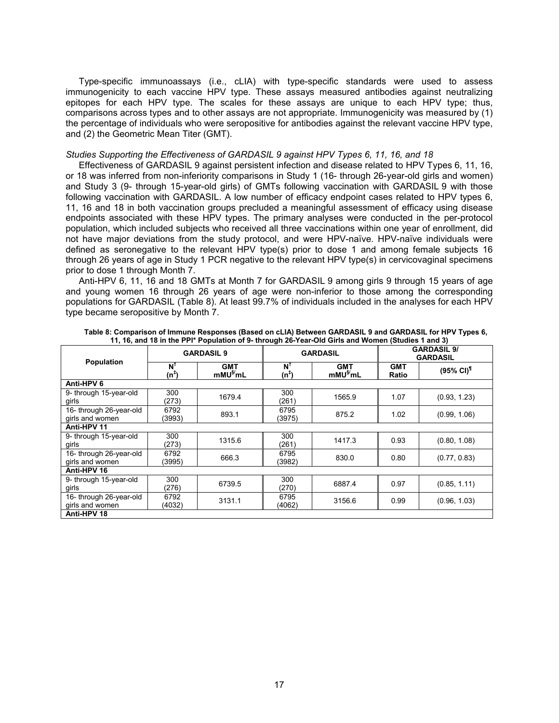Type-specific immunoassays (i.e., cLIA) with type-specific standards were used to assess immunogenicity to each vaccine HPV type. These assays measured antibodies against neutralizing epitopes for each HPV type. The scales for these assays are unique to each HPV type; thus, comparisons across types and to other assays are not appropriate. Immunogenicity was measured by (1) the percentage of individuals who were seropositive for antibodies against the relevant vaccine HPV type, and (2) the Geometric Mean Titer (GMT).

#### *Studies Supporting the Effectiveness of GARDASIL 9 against HPV Types 6, 11, 16, and 18*

Effectiveness of GARDASIL 9 against persistent infection and disease related to HPV Types 6, 11, 16, or 18 was inferred from non-inferiority comparisons in Study 1 (16- through 26-year-old girls and women) and Study 3 (9- through 15-year-old girls) of GMTs following vaccination with GARDASIL 9 with those following vaccination with GARDASIL. A low number of efficacy endpoint cases related to HPV types 6, 11, 16 and 18 in both vaccination groups precluded a meaningful assessment of efficacy using disease endpoints associated with these HPV types. The primary analyses were conducted in the per-protocol population, which included subjects who received all three vaccinations within one year of enrollment, did not have major deviations from the study protocol, and were HPV-naïve. HPV-naïve individuals were defined as seronegative to the relevant HPV type(s) prior to dose 1 and among female subjects 16 through 26 years of age in Study 1 PCR negative to the relevant HPV type(s) in cervicovaginal specimens prior to dose 1 through Month 7.

Anti-HPV 6, 11, 16 and 18 GMTs at Month 7 for GARDASIL 9 among girls 9 through 15 years of age and young women 16 through 26 years of age were non-inferior to those among the corresponding populations for GARDASIL (Table 8). At least 99.7% of individuals included in the analyses for each HPV type became seropositive by Month 7.

|                                                   |                | <b>GARDASIL 9</b>                  | <b>GARDASIL</b>                                               |        |                     | <b>GARDASIL 9/</b><br><b>GARDASIL</b> |
|---------------------------------------------------|----------------|------------------------------------|---------------------------------------------------------------|--------|---------------------|---------------------------------------|
| Population<br>N <sup>1</sup><br>(n <sup>∓</sup> ) |                | <b>GMT</b><br>mMU <sup>§/</sup> mL | N'<br><b>GMT</b><br>mMU <sup>§/</sup> mL<br>(n <sup>∓</sup> ) |        | <b>GMT</b><br>Ratio | $(95\% \text{ Cl})^{\text{T}}$        |
| Anti-HPV 6                                        |                |                                    |                                                               |        |                     |                                       |
| 9- through 15-year-old<br>girls                   | 300<br>(273)   | 1679.4                             | 300<br>(261)                                                  | 1565.9 | 1.07                | (0.93, 1.23)                          |
| 16- through 26-year-old<br>girls and women        | 6792<br>(3993) | 893.1                              | 6795<br>(3975)                                                | 875.2  | 1.02                | (0.99, 1.06)                          |
| Anti-HPV 11                                       |                |                                    |                                                               |        |                     |                                       |
| 9- through 15-year-old<br>girls                   | 300<br>(273)   | 1315.6                             | 300<br>(261)                                                  | 1417.3 | 0.93                | (0.80, 1.08)                          |
| 16- through 26-year-old<br>girls and women        | 6792<br>(3995) | 666.3                              | 6795<br>(3982)                                                | 830.0  | 0.80                | (0.77, 0.83)                          |
| Anti-HPV 16                                       |                |                                    |                                                               |        |                     |                                       |
| 9- through 15-year-old<br>girls                   | 300<br>(276)   | 6739.5                             | 300<br>(270)                                                  | 6887.4 | 0.97                | (0.85, 1.11)                          |
| 16- through 26-year-old<br>girls and women        | 6792<br>(4032) | 3131.1                             | 6795<br>(4062)                                                | 3156.6 | 0.99                | (0.96, 1.03)                          |
| Anti-HPV 18                                       |                |                                    |                                                               |        |                     |                                       |

**Table 8: Comparison of Immune Responses (Based on cLIA) Between GARDASIL 9 and GARDASIL for HPV Types 6, 11, 16, and 18 in the PPI\* Population of 9- through 26-Year-Old Girls and Women (Studies 1 and 3)**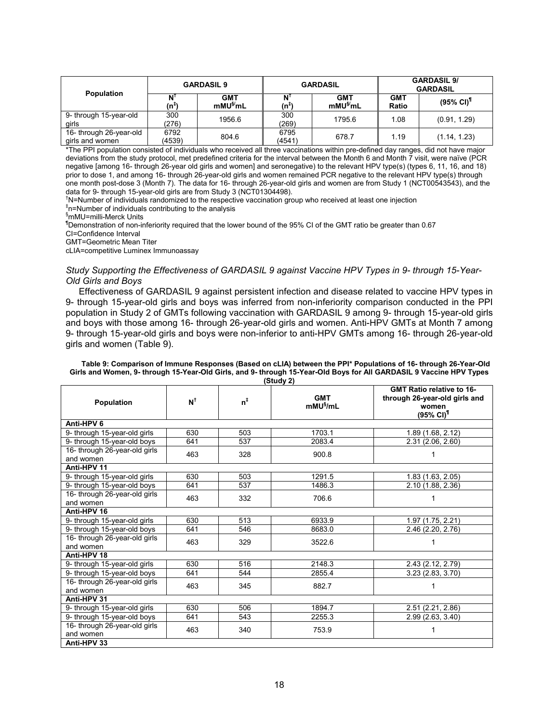|                                            | <b>GARDASIL 9</b> |                                      | <b>GARDASIL</b> |                                      | <b>GARDASIL 9/</b><br><b>GARDASIL</b> |                                |
|--------------------------------------------|-------------------|--------------------------------------|-----------------|--------------------------------------|---------------------------------------|--------------------------------|
| <b>Population</b>                          | (n <sup>∓</sup>   | <b>GMT</b><br>$m$ MU $\frac{S}{m}$ L | (n <sup>∓</sup> | <b>GMT</b><br>$m$ MU $\frac{S}{m}$ L | <b>GMT</b><br>Ratio                   | $(95\% \text{ Cl})^{\text{T}}$ |
| 9- through 15-year-old<br>airls            | 300<br>(276)      | 1956.6                               | 300<br>(269)    | 1795.6                               | 1.08                                  | (0.91, 1.29)                   |
| 16- through 26-year-old<br>girls and women | 6792<br>(4539)    | 804.6                                | 6795<br>(4541)  | 678.7                                | 1.19                                  | (1.14, 1.23)                   |

\*The PPI population consisted of individuals who received all three vaccinations within pre-defined day ranges, did not have major deviations from the study protocol, met predefined criteria for the interval between the Month 6 and Month 7 visit, were naïve (PCR negative [among 16- through 26-year old girls and women] and seronegative) to the relevant HPV type(s) (types 6, 11, 16, and 18) prior to dose 1, and among 16- through 26-year-old girls and women remained PCR negative to the relevant HPV type(s) through one month post-dose 3 (Month 7). The data for 16- through 26-year-old girls and women are from Study 1 (NCT00543543), and the data for 9- through 15-year-old girls are from Study 3 (NCT01304498).

<sup>†</sup>N=Number of individuals randomized to the respective vaccination group who received at least one injection

‡ n=Number of individuals contributing to the analysis

§mMU=milli-Merck Units

¶Demonstration of non-inferiority required that the lower bound of the 95% CI of the GMT ratio be greater than 0.67 CI=Confidence Interval

GMT=Geometric Mean Titer

cLIA=competitive Luminex Immunoassay

*Study Supporting the Effectiveness of GARDASIL 9 against Vaccine HPV Types in 9- through 15-Year-Old Girls and Boys*

Effectiveness of GARDASIL 9 against persistent infection and disease related to vaccine HPV types in 9- through 15-year-old girls and boys was inferred from non-inferiority comparison conducted in the PPI population in Study 2 of GMTs following vaccination with GARDASIL 9 among 9- through 15-year-old girls and boys with those among 16- through 26-year-old girls and women. Anti-HPV GMTs at Month 7 among 9- through 15-year-old girls and boys were non-inferior to anti-HPV GMTs among 16- through 26-year-old girls and women (Table 9).

| (Study 2)                                  |               |                |                                        |                                                                                                     |  |  |
|--------------------------------------------|---------------|----------------|----------------------------------------|-----------------------------------------------------------------------------------------------------|--|--|
| <b>Population</b>                          | $N^{\dagger}$ | $n^{\ddagger}$ | <b>GMT</b><br>$m$ MU $\frac{m}{2}$ /mL | <b>GMT Ratio relative to 16-</b><br>through 26-year-old girls and<br>women<br>(95% CI) <sup>¶</sup> |  |  |
| Anti-HPV 6                                 |               |                |                                        |                                                                                                     |  |  |
| 9- through 15-year-old girls               | 630           | 503            | 1703.1                                 | 1.89 (1.68, 2.12)                                                                                   |  |  |
| 9- through 15-year-old boys                | 641           | 537            | 2083.4                                 | 2.31 (2.06, 2.60)                                                                                   |  |  |
| 16- through 26-year-old girls<br>and women | 463           | 328            | 900.8                                  | 1                                                                                                   |  |  |
| Anti-HPV 11                                |               |                |                                        |                                                                                                     |  |  |
| 9- through 15-year-old girls               | 630           | 503            | 1291.5                                 | 1.83 (1.63, 2.05)                                                                                   |  |  |
| 9- through 15-year-old boys                | 641           | 537            | 1486.3                                 | 2.10 (1.88, 2.36)                                                                                   |  |  |
| 16- through 26-year-old girls<br>and women | 463           | 332            | 706.6                                  |                                                                                                     |  |  |
| Anti-HPV 16                                |               |                |                                        |                                                                                                     |  |  |
| 9- through 15-year-old girls               | 630           | 513            | 6933.9                                 | 1.97 (1.75, 2.21)                                                                                   |  |  |
| 9- through 15-year-old boys                | 641           | 546            | 8683.0                                 | 2.46 (2.20, 2.76)                                                                                   |  |  |
| 16- through 26-year-old girls<br>and women | 463           | 329            | 3522.6                                 | 1                                                                                                   |  |  |
| Anti-HPV 18                                |               |                |                                        |                                                                                                     |  |  |
| 9- through 15-year-old girls               | 630           | 516            | 2148.3                                 | 2.43 (2.12, 2.79)                                                                                   |  |  |
| 9- through 15-year-old boys                | 641           | 544            | 2855.4                                 | 3.23(2.83, 3.70)                                                                                    |  |  |
| 16- through 26-year-old girls<br>and women | 463           | 345            | 882.7                                  | 1                                                                                                   |  |  |
| Anti-HPV 31                                |               |                |                                        |                                                                                                     |  |  |
| 9- through 15-year-old girls               | 630           | 506            | 1894.7                                 | 2.51 (2.21, 2.86)                                                                                   |  |  |
| 9- through 15-year-old boys                | 641           | 543            | 2255.3                                 | 2.99(2.63, 3.40)                                                                                    |  |  |
| 16- through 26-year-old girls<br>and women | 463           | 340            | 753.9                                  | 1                                                                                                   |  |  |
| Anti-HPV 33                                |               |                |                                        |                                                                                                     |  |  |

**Table 9: Comparison of Immune Responses (Based on cLIA) between the PPI\* Populations of 16- through 26-Year-Old Girls and Women, 9- through 15-Year-Old Girls, and 9- through 15-Year-Old Boys for All GARDASIL 9 Vaccine HPV Types**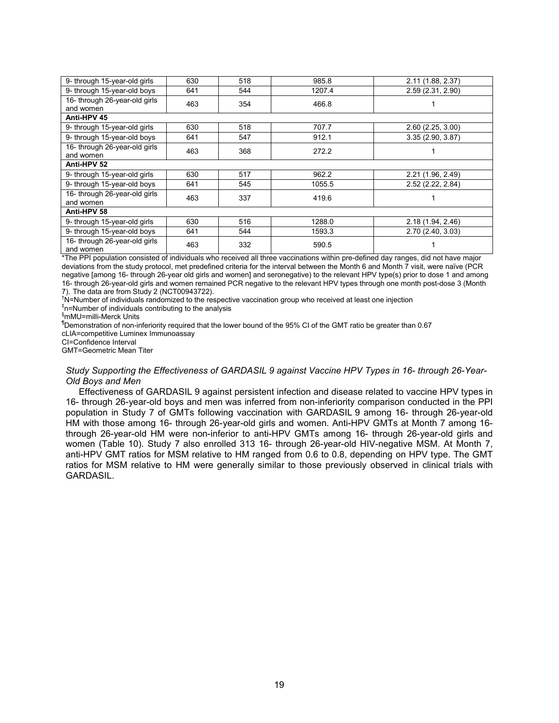| 630         | 518               | 985.8             | 2.11 (1.88, 2.37)       |  |  |  |  |
|-------------|-------------------|-------------------|-------------------------|--|--|--|--|
| 641         | 544               | 1207.4            | 2.59 (2.31, 2.90)       |  |  |  |  |
|             |                   |                   |                         |  |  |  |  |
|             |                   |                   |                         |  |  |  |  |
| Anti-HPV 45 |                   |                   |                         |  |  |  |  |
| 630         | 518               | 707.7             | 2.60(2.25, 3.00)        |  |  |  |  |
| 641         | 547               | 912.1             | 3.35(2.90, 3.87)        |  |  |  |  |
|             |                   |                   |                         |  |  |  |  |
|             |                   |                   |                         |  |  |  |  |
| Anti-HPV 52 |                   |                   |                         |  |  |  |  |
| 630         | 517               | 962.2             | 2.21 (1.96, 2.49)       |  |  |  |  |
| 641         | 545               | 1055.5            | 2.52 (2.22, 2.84)       |  |  |  |  |
|             |                   |                   |                         |  |  |  |  |
|             |                   |                   |                         |  |  |  |  |
| Anti-HPV 58 |                   |                   |                         |  |  |  |  |
| 630         | 516               | 1288.0            | 2.18 (1.94, 2.46)       |  |  |  |  |
| 641         | 544               | 1593.3            | 2.70 (2.40, 3.03)       |  |  |  |  |
| 463         | 332               | 590.5             |                         |  |  |  |  |
|             | 463<br>463<br>463 | 354<br>368<br>337 | 466.8<br>272.2<br>419.6 |  |  |  |  |

\*The PPI population consisted of individuals who received all three vaccinations within pre-defined day ranges, did not have major deviations from the study protocol, met predefined criteria for the interval between the Month 6 and Month 7 visit, were naïve (PCR negative [among 16- through 26-year old girls and women] and seronegative) to the relevant HPV type(s) prior to dose 1 and among 16- through 26-year-old girls and women remained PCR negative to the relevant HPV types through one month post-dose 3 (Month 7). The data are from Study 2 (NCT00943722).

<sup>†</sup>N=Number of individuals randomized to the respective vaccination group who received at least one injection

‡ n=Number of individuals contributing to the analysis

§mMU=milli-Merck Units

¶Demonstration of non-inferiority required that the lower bound of the 95% CI of the GMT ratio be greater than 0.67

cLIA=competitive Luminex Immunoassay

CI=Confidence Interval

GMT=Geometric Mean Titer

#### *Study Supporting the Effectiveness of GARDASIL 9 against Vaccine HPV Types in 16- through 26-Year-Old Boys and Men*

Effectiveness of GARDASIL 9 against persistent infection and disease related to vaccine HPV types in 16- through 26-year-old boys and men was inferred from non-inferiority comparison conducted in the PPI population in Study 7 of GMTs following vaccination with GARDASIL 9 among 16- through 26-year-old HM with those among 16- through 26-year-old girls and women. Anti-HPV GMTs at Month 7 among 16 through 26-year-old HM were non-inferior to anti-HPV GMTs among 16- through 26-year-old girls and women (Table 10). Study 7 also enrolled 313 16- through 26-year-old HIV-negative MSM. At Month 7, anti-HPV GMT ratios for MSM relative to HM ranged from 0.6 to 0.8, depending on HPV type. The GMT ratios for MSM relative to HM were generally similar to those previously observed in clinical trials with GARDASIL.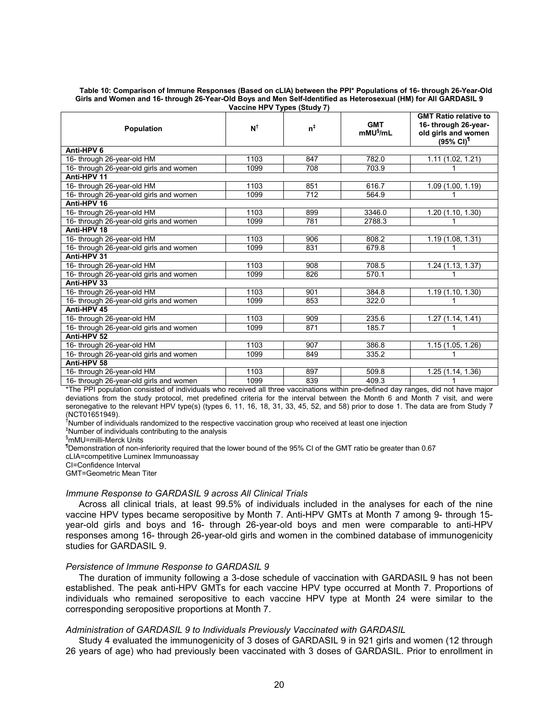#### **Table 10: Comparison of Immune Responses (Based on cLIA) between the PPI\* Populations of 16- through 26-Year-Old Girls and Women and 16- through 26-Year-Old Boys and Men Self-Identified as Heterosexual (HM) for All GARDASIL 9 Vaccine HPV Types (Study 7)**

| Population                              | $N^{\dagger}$ | $n^{\ddagger}$ | <b>GMT</b><br>mMU <sup>§</sup> /mL | <b>GMT Ratio relative to</b><br>16- through 26-year-<br>old girls and women<br>$(95\% \text{ Cl})^{\text{T}}$ |  |  |  |
|-----------------------------------------|---------------|----------------|------------------------------------|---------------------------------------------------------------------------------------------------------------|--|--|--|
| Anti-HPV 6                              |               |                |                                    |                                                                                                               |  |  |  |
| 16- through 26-year-old HM              | 1103          | 847            | 782.0                              | 1.11(1.02, 1.21)                                                                                              |  |  |  |
| 16- through 26-year-old girls and women | 1099          | 708            | 703.9                              |                                                                                                               |  |  |  |
| Anti-HPV 11                             |               |                |                                    |                                                                                                               |  |  |  |
| 16- through 26-year-old HM              | 1103          | 851            | 616.7                              | 1.09 (1.00, 1.19)                                                                                             |  |  |  |
| 16- through 26-year-old girls and women | 1099          | 712            | 564.9                              |                                                                                                               |  |  |  |
| Anti-HPV 16                             |               |                |                                    |                                                                                                               |  |  |  |
| 16- through 26-year-old HM              | 1103          | 899            | 3346.0                             | 1.20(1.10, 1.30)                                                                                              |  |  |  |
| 16- through 26-year-old girls and women | 1099          | 781            | 2788.3                             |                                                                                                               |  |  |  |
| Anti-HPV 18                             |               |                |                                    |                                                                                                               |  |  |  |
| 16- through 26-year-old HM              | 1103          | 906            | 808.2                              | 1.19(1.08, 1.31)                                                                                              |  |  |  |
| 16- through 26-year-old girls and women | 1099          | 831            | 679.8                              |                                                                                                               |  |  |  |
| Anti-HPV 31                             |               |                |                                    |                                                                                                               |  |  |  |
| 16- through 26-year-old HM              | 1103          | 908            | 708.5                              | 1.24 (1.13, 1.37)                                                                                             |  |  |  |
| 16- through 26-year-old girls and women | 1099          | 826            | 570.1                              |                                                                                                               |  |  |  |
| Anti-HPV 33                             |               |                |                                    |                                                                                                               |  |  |  |
| 16- through 26-year-old HM              | 1103          | 901            | 384.8                              | 1.19 (1.10, 1.30)                                                                                             |  |  |  |
| 16- through 26-year-old girls and women | 1099          | 853            | 322.0                              |                                                                                                               |  |  |  |
| Anti-HPV 45                             |               |                |                                    |                                                                                                               |  |  |  |
| 16- through 26-year-old HM              | 1103          | 909            | 235.6                              | $\overline{1.27}$ (1.14, 1.41)                                                                                |  |  |  |
| 16- through 26-year-old girls and women | 1099          | 871            | 185.7                              |                                                                                                               |  |  |  |
| Anti-HPV 52                             |               |                |                                    |                                                                                                               |  |  |  |
| 16- through 26-year-old HM              | 1103          | 907            | 386.8                              | 1.15 (1.05, 1.26)                                                                                             |  |  |  |
| 16- through 26-year-old girls and women | 1099          | 849            | 335.2                              |                                                                                                               |  |  |  |
| Anti-HPV 58                             |               |                |                                    |                                                                                                               |  |  |  |
| 16- through 26-year-old HM              | 1103          | 897            | 509.8                              | 1.25 (1.14, 1.36)                                                                                             |  |  |  |
| 16- through 26-year-old girls and women | 1099          | 839            | 409.3                              |                                                                                                               |  |  |  |

\*The PPI population consisted of individuals who received all three vaccinations within pre-defined day ranges, did not have major deviations from the study protocol, met predefined criteria for the interval between the Month 6 and Month 7 visit, and were seronegative to the relevant HPV type(s) (types 6, 11, 16, 18, 31, 33, 45, 52, and 58) prior to dose 1. The data are from Study 7 (NCT01651949).

†Number of individuals randomized to the respective vaccination group who received at least one injection

‡Number of individuals contributing to the analysis

§mMU=milli-Merck Units

¶Demonstration of non-inferiority required that the lower bound of the 95% CI of the GMT ratio be greater than 0.67

cLIA=competitive Luminex Immunoassay

CI=Confidence Interval

GMT=Geometric Mean Titer

#### *Immune Response to GARDASIL 9 across All Clinical Trials*

Across all clinical trials, at least 99.5% of individuals included in the analyses for each of the nine vaccine HPV types became seropositive by Month 7. Anti-HPV GMTs at Month 7 among 9- through 15 year-old girls and boys and 16- through 26-year-old boys and men were comparable to anti-HPV responses among 16- through 26-year-old girls and women in the combined database of immunogenicity studies for GARDASIL 9.

#### *Persistence of Immune Response to GARDASIL 9*

The duration of immunity following a 3-dose schedule of vaccination with GARDASIL 9 has not been established. The peak anti-HPV GMTs for each vaccine HPV type occurred at Month 7. Proportions of individuals who remained seropositive to each vaccine HPV type at Month 24 were similar to the corresponding seropositive proportions at Month 7.

### *Administration of GARDASIL 9 to Individuals Previously Vaccinated with GARDASIL*

Study 4 evaluated the immunogenicity of 3 doses of GARDASIL 9 in 921 girls and women (12 through 26 years of age) who had previously been vaccinated with 3 doses of GARDASIL. Prior to enrollment in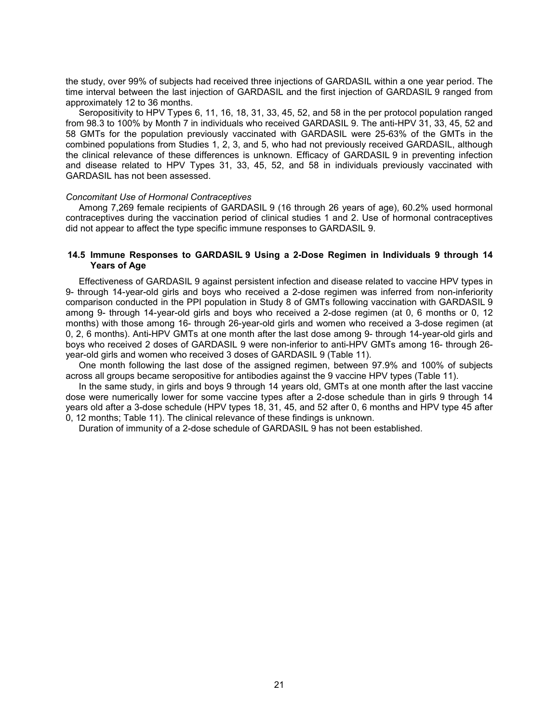the study, over 99% of subjects had received three injections of GARDASIL within a one year period. The time interval between the last injection of GARDASIL and the first injection of GARDASIL 9 ranged from approximately 12 to 36 months.

Seropositivity to HPV Types 6, 11, 16, 18, 31, 33, 45, 52, and 58 in the per protocol population ranged from 98.3 to 100% by Month 7 in individuals who received GARDASIL 9. The anti-HPV 31, 33, 45, 52 and 58 GMTs for the population previously vaccinated with GARDASIL were 25-63% of the GMTs in the combined populations from Studies 1, 2, 3, and 5, who had not previously received GARDASIL, although the clinical relevance of these differences is unknown. Efficacy of GARDASIL 9 in preventing infection and disease related to HPV Types 31, 33, 45, 52, and 58 in individuals previously vaccinated with GARDASIL has not been assessed.

#### *Concomitant Use of Hormonal Contraceptives*

Among 7,269 female recipients of GARDASIL 9 (16 through 26 years of age), 60.2% used hormonal contraceptives during the vaccination period of clinical studies 1 and 2. Use of hormonal contraceptives did not appear to affect the type specific immune responses to GARDASIL 9.

### **14.5 Immune Responses to GARDASIL 9 Using a 2-Dose Regimen in Individuals 9 through 14 Years of Age**

Effectiveness of GARDASIL 9 against persistent infection and disease related to vaccine HPV types in 9- through 14-year-old girls and boys who received a 2-dose regimen was inferred from non-inferiority comparison conducted in the PPI population in Study 8 of GMTs following vaccination with GARDASIL 9 among 9- through 14-year-old girls and boys who received a 2-dose regimen (at 0, 6 months or 0, 12 months) with those among 16- through 26-year-old girls and women who received a 3-dose regimen (at 0, 2, 6 months). Anti-HPV GMTs at one month after the last dose among 9- through 14-year-old girls and boys who received 2 doses of GARDASIL 9 were non-inferior to anti-HPV GMTs among 16- through 26 year-old girls and women who received 3 doses of GARDASIL 9 (Table 11).

One month following the last dose of the assigned regimen, between 97.9% and 100% of subjects across all groups became seropositive for antibodies against the 9 vaccine HPV types (Table 11).

In the same study, in girls and boys 9 through 14 years old, GMTs at one month after the last vaccine dose were numerically lower for some vaccine types after a 2-dose schedule than in girls 9 through 14 years old after a 3-dose schedule (HPV types 18, 31, 45, and 52 after 0, 6 months and HPV type 45 after 0, 12 months; Table 11). The clinical relevance of these findings is unknown.

Duration of immunity of a 2-dose schedule of GARDASIL 9 has not been established.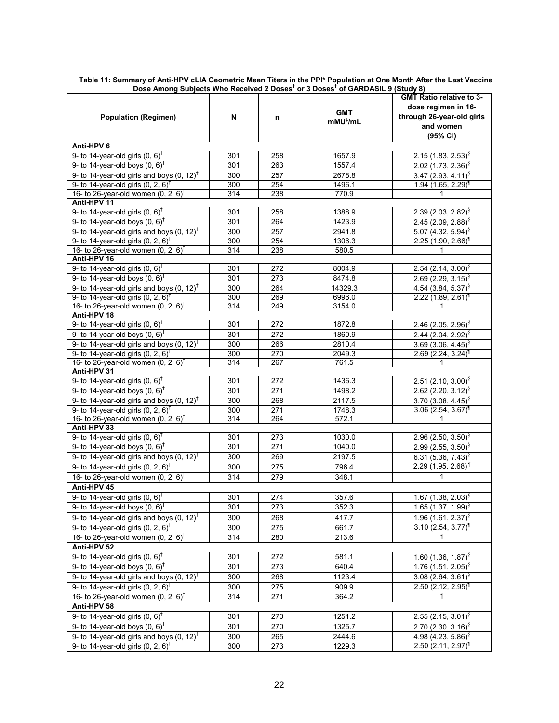|                                                                                                       |            |            |                                  | <b>GMT Ratio relative to 3-</b>                                  |  |  |
|-------------------------------------------------------------------------------------------------------|------------|------------|----------------------------------|------------------------------------------------------------------|--|--|
|                                                                                                       | N          | n          | <b>GMT</b><br>$mMU^{\dagger}/mL$ | dose regimen in 16-                                              |  |  |
| <b>Population (Regimen)</b>                                                                           |            |            |                                  | through 26-year-old girls                                        |  |  |
|                                                                                                       |            |            |                                  | and women                                                        |  |  |
|                                                                                                       |            |            |                                  | (95% CI)                                                         |  |  |
| Anti-HPV 6                                                                                            |            |            |                                  |                                                                  |  |  |
| 9- to 14-year-old girls $(0, 6)^{\dagger}$                                                            | 301        | 258        | 1657.9                           | $2.15(1.83, 2.53)^8$                                             |  |  |
| 9- to 14-year-old boys $(0, 6)^{\dagger}$                                                             | 301        | 263        | 1557.4                           | 2.02 (1.73, 2.36) <sup>§</sup>                                   |  |  |
| 9- to 14-year-old girls and boys $(0, 12)^{\dagger}$                                                  | 300        | 257        | 2678.8                           | 3.47 (2.93, 4.11) <sup>§</sup>                                   |  |  |
| 9- to 14-year-old girls $(0, 2, 6)^{\dagger}$                                                         | 300        | 254        | 1496.1                           | 1.94 (1.65, 2.29)                                                |  |  |
| 16- to 26-year-old women $(0, 2, 6)^{\dagger}$<br>Anti-HPV 11                                         | 314        | 238        | 770.9                            | 1                                                                |  |  |
| 9- to 14-year-old girls $(0, 6)^{\dagger}$                                                            | 301        | 258        | 1388.9                           |                                                                  |  |  |
| 9- to 14-year-old boys $(0, 6)^{\dagger}$                                                             | 301        | 264        | 1423.9                           | $2.39(2.03, 2.82)^8$                                             |  |  |
| 9- to 14-year-old girls and boys $(0, 12)^{\dagger}$                                                  | 300        | 257        | 2941.8                           | 2.45 (2.09, 2.88) <sup>§</sup><br>5.07 (4.32, 5.94) <sup>§</sup> |  |  |
| 9- to 14-year-old girls $(0, 2, 6)^{\dagger}$                                                         | 300        | 254        | 1306.3                           | $2.25(1.90, 2.66)^T$                                             |  |  |
| 16- to 26-year-old women $(0, 2, 6)^{\dagger}$                                                        | 314        | 238        | 580.5                            | 1.                                                               |  |  |
| Anti-HPV 16                                                                                           |            |            |                                  |                                                                  |  |  |
| 9- to 14-year-old girls $(0, 6)^{\dagger}$                                                            | 301        | 272        | 8004.9                           | 2.54 (2.14, 3.00) <sup>§</sup>                                   |  |  |
| 9- to 14-year-old boys $(0, 6)^{\dagger}$                                                             | 301        | 273        | 8474.8                           | 2.69 (2.29, 3.15) <sup>§</sup>                                   |  |  |
| 9- to 14-year-old girls and boys $(0, 12)^{\dagger}$                                                  | 300        | 264        | 14329.3                          | 4.54 (3.84, 5.37) <sup>§</sup>                                   |  |  |
| 9- to 14-year-old girls $(0, 2, 6)^{\dagger}$                                                         | 300        | 269        | 6996.0                           | $2.22$ (1.89, 2.61) <sup>1</sup>                                 |  |  |
| 16- to 26-year-old women $(0, 2, 6)^{\dagger}$                                                        | 314        | 249        | 3154.0                           | 1.                                                               |  |  |
| Anti-HPV 18                                                                                           |            |            |                                  |                                                                  |  |  |
| 9- to 14-year-old girls $(0, 6)^{\dagger}$                                                            | 301        | 272        | 1872.8                           | 2.46 (2.05, 2.96) <sup>§</sup>                                   |  |  |
| 9- to 14-year-old boys $(0, 6)^{\dagger}$                                                             | 301        | 272        | 1860.9                           | 2.44 (2.04, 2.92) <sup>§</sup>                                   |  |  |
| 9- to 14-year-old girls and boys $(0, 12)^{\dagger}$                                                  | 300        | 266        | 2810.4                           | $3.69(3.06, 4.45)^8$                                             |  |  |
| 9- to 14-year-old girls $(0, 2, 6)^{\dagger}$                                                         | 300        | 270        | 2049.3                           | $2.69$ (2.24, 3.24) <sup>1</sup>                                 |  |  |
| 16- to 26-year-old women $(0, 2, 6)^{\dagger}$                                                        | 314        | 267        | 761.5                            | 1                                                                |  |  |
| Anti-HPV 31                                                                                           |            |            |                                  |                                                                  |  |  |
| 9- to 14-year-old girls $(0, 6)^{\dagger}$                                                            | 301        | 272        | 1436.3                           | 2.51 (2.10, 3.00) <sup>§</sup>                                   |  |  |
| 9- to 14-year-old boys $(0, 6)^{\dagger}$                                                             | 301        | 271        | 1498.2                           | 2.62 (2.20, 3.12) <sup>§</sup>                                   |  |  |
| 9- to 14-year-old girls and boys $(0, 12)^{\dagger}$<br>9- to 14-year-old girls $(0, 2, 6)^{\dagger}$ | 300<br>300 | 268<br>271 | 2117.5<br>1748.3                 | 3.70 (3.08, 4.45) <sup>§</sup>                                   |  |  |
| 16- to 26-year-old women $(0, 2, 6)^{\dagger}$                                                        | 314        | 264        | 572.1                            | $3.06$ (2.54, $3.67$ ) <sup>1</sup><br>1                         |  |  |
| Anti-HPV 33                                                                                           |            |            |                                  |                                                                  |  |  |
| 9- to 14-year-old girls $(0, 6)^T$                                                                    | 301        | 273        | 1030.0                           | 2.96 (2.50, 3.50) <sup>§</sup>                                   |  |  |
| 9- to 14-year-old boys $(0, 6)^{\dagger}$                                                             | 301        | 271        | 1040.0                           | 2.99 (2.55, 3.50) $^{\circ}$                                     |  |  |
| 9- to 14-year-old girls and boys $(0, 12)^{\dagger}$                                                  | 300        | 269        | 2197.5                           | 6.31 (5.36, 7.43) <sup>§</sup>                                   |  |  |
| 9- to 14-year-old girls $(0, 2, 6)^{\dagger}$                                                         | 300        | 275        | 796.4                            | $2.29(1.95, 2.68)^T$                                             |  |  |
| 16- to 26-year-old women $(0, 2, 6)^{\dagger}$                                                        | 314        | 279        | 348.1                            | 1                                                                |  |  |
| Anti-HPV 45                                                                                           |            |            |                                  |                                                                  |  |  |
| 9- to 14-year-old girls $(0, 6)^{\dagger}$                                                            | 301        | 274        | 357.6                            | 1.67 (1.38, 2.03) <sup>§</sup>                                   |  |  |
| 9- to 14-year-old boys $(0, 6)^{\dagger}$                                                             | 301        | 273        | 352.3                            | 1.65 (1.37, 1.99) <sup>§</sup>                                   |  |  |
| 9- to 14-year-old girls and boys $(0, 12)^{\dagger}$                                                  | 300        | 268        | 417.7                            | 1.96 $(1.61, 2.37)^8$                                            |  |  |
| 9- to 14-year-old girls $(0, 2, 6)^{\dagger}$                                                         | 300        | 275        | 661.7                            | $3.10(2.54, 3.77)^T$                                             |  |  |
| 16- to 26-year-old women $(0, 2, 6)^{\dagger}$                                                        | 314        | 280        | 213.6                            | $\mathbf{1}$                                                     |  |  |
| Anti-HPV 52                                                                                           |            |            |                                  |                                                                  |  |  |
| 9- to 14-year-old girls $(0, 6)^{\dagger}$                                                            | 301        | 272        | 581.1                            | 1.60 (1.36, 1.87) <sup>§</sup>                                   |  |  |
| 9- to 14-year-old boys $(0, 6)^T$                                                                     | 301        | 273        | 640.4                            | 1.76 $(1.51, 2.05)^8$                                            |  |  |
| 9- to 14-year-old girls and boys $(0, 12)^{\dagger}$                                                  | 300        | 268        | 1123.4                           | 3.08 (2.64, 3.61) <sup>§</sup>                                   |  |  |
| 9- to 14-year-old girls $(0, 2, 6)^{\dagger}$                                                         | 300        | 275        | 909.9                            | $2.50$ (2.12, $2.95$ ) <sup>1</sup>                              |  |  |
| 16- to 26-year-old women $(0, 2, 6)^{\dagger}$                                                        | 314        | 271        | 364.2                            | 1                                                                |  |  |
| Anti-HPV 58                                                                                           |            |            |                                  |                                                                  |  |  |
| 9- to 14-year-old girls $(0, 6)^{\dagger}$                                                            | 301        | 270        | 1251.2                           | 2.55 (2.15, 3.01) <sup>§</sup>                                   |  |  |
| 9- to 14-year-old boys $(0, 6)^{\dagger}$                                                             | 301        | 270        | 1325.7                           | 2.70 (2.30, 3.16) <sup>§</sup>                                   |  |  |
| 9- to 14-year-old girls and boys $(0, 12)^{\dagger}$                                                  | 300        | 265        | 2444.6                           | 4.98 (4.23, 5.86) <sup>§</sup>                                   |  |  |
| 9- to 14-year-old girls $(0, 2, 6)^{\dagger}$                                                         | 300        | 273        | 1229.3                           | $2.50(2.11, 2.97)^{1}$                                           |  |  |
|                                                                                                       |            |            |                                  |                                                                  |  |  |

Table 11: Summary of Anti-HPV cLIA Geometric Mean Titers in the PPI\* Population at One Month After the Last Vaccine<br>Dose Among Subjects Who Received 2 Doses<sup>t</sup> or 3 Doses<sup>t</sup> of GARDASIL 9 (Study 8)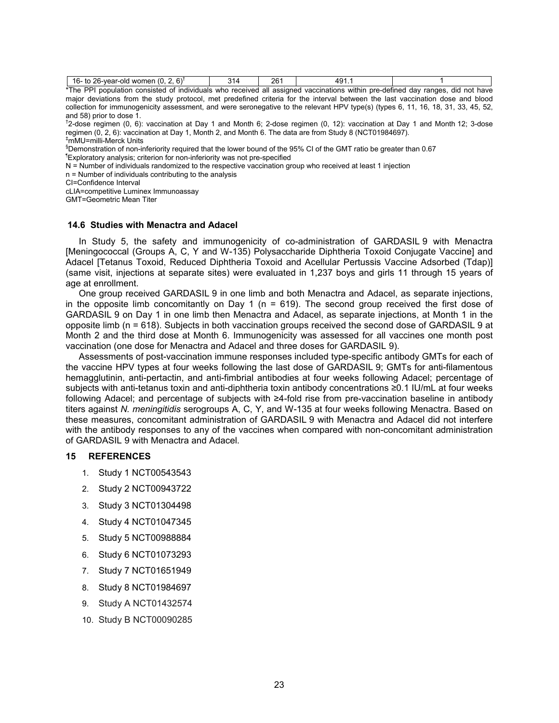| בור<br>16.<br>won<br>1000 <sup>2</sup><br>olc<br>ner<br>. .<br>$\sim$ | . . | ີ<br>∼ | $\sqrt{2}$<br><br> |                                                                                                                                                                                                                                           |
|-----------------------------------------------------------------------|-----|--------|--------------------|-------------------------------------------------------------------------------------------------------------------------------------------------------------------------------------------------------------------------------------------|
| . <del>.</del> .<br>$\cdot$ .<br>---<br>.                             |     |        |                    | $\blacksquare$ . The contract of the contract of the contract of the contract of the contract of the contract of the contract of the contract of the contract of the contract of the contract of the contract of the contract of the<br>. |

\*The PPI population consisted of individuals who received all assigned vaccinations within pre-defined day ranges, did not have major deviations from the study protocol, met predefined criteria for the interval between the last vaccination dose and blood collection for immunogenicity assessment, and were seronegative to the relevant HPV type(s) (types 6, 11, 16, 18, 31, 33, 45, 52, and 58) prior to dose 1.

† 2-dose regimen (0, 6): vaccination at Day 1 and Month 6; 2-dose regimen (0, 12): vaccination at Day 1 and Month 12; 3-dose regimen (0, 2, 6): vaccination at Day 1, Month 2, and Month 6. The data are from Study 8 (NCT01984697). ‡mMU=milli-Merck Units

§Demonstration of non-inferiority required that the lower bound of the 95% CI of the GMT ratio be greater than 0.67

¶Exploratory analysis; criterion for non-inferiority was not pre-specified

N = Number of individuals randomized to the respective vaccination group who received at least 1 injection

n = Number of individuals contributing to the analysis

CI=Confidence Interval

cLIA=competitive Luminex Immunoassay

GMT=Geometric Mean Titer

#### **14.6 Studies with Menactra and Adacel**

In Study 5, the safety and immunogenicity of co-administration of GARDASIL 9 with Menactra [Meningococcal (Groups A, C, Y and W-135) Polysaccharide Diphtheria Toxoid Conjugate Vaccine] and Adacel [Tetanus Toxoid, Reduced Diphtheria Toxoid and Acellular Pertussis Vaccine Adsorbed (Tdap)] (same visit, injections at separate sites) were evaluated in 1,237 boys and girls 11 through 15 years of age at enrollment.

One group received GARDASIL 9 in one limb and both Menactra and Adacel, as separate injections, in the opposite limb concomitantly on Day 1 ( $n = 619$ ). The second group received the first dose of GARDASIL 9 on Day 1 in one limb then Menactra and Adacel, as separate injections, at Month 1 in the opposite limb (n = 618). Subjects in both vaccination groups received the second dose of GARDASIL 9 at Month 2 and the third dose at Month 6. Immunogenicity was assessed for all vaccines one month post vaccination (one dose for Menactra and Adacel and three doses for GARDASIL 9).

Assessments of post-vaccination immune responses included type-specific antibody GMTs for each of the vaccine HPV types at four weeks following the last dose of GARDASIL 9; GMTs for anti-filamentous hemagglutinin, anti-pertactin, and anti-fimbrial antibodies at four weeks following Adacel; percentage of subjects with anti-tetanus toxin and anti-diphtheria toxin antibody concentrations ≥0.1 IU/mL at four weeks following Adacel; and percentage of subjects with ≥4-fold rise from pre-vaccination baseline in antibody titers against *N. meningitidis* serogroups A, C, Y, and W-135 at four weeks following Menactra. Based on these measures, concomitant administration of GARDASIL 9 with Menactra and Adacel did not interfere with the antibody responses to any of the vaccines when compared with non-concomitant administration of GARDASIL 9 with Menactra and Adacel.

## **15 REFERENCES**

- 1. Study 1 NCT00543543
- 2. Study 2 NCT00943722
- 3. Study 3 NCT01304498
- 4. Study 4 NCT01047345
- 5. Study 5 NCT00988884
- 6. Study 6 NCT01073293
- 7. Study 7 NCT01651949
- 8. Study 8 NCT01984697
- 9. Study A NCT01432574
- 10. Study B NCT00090285